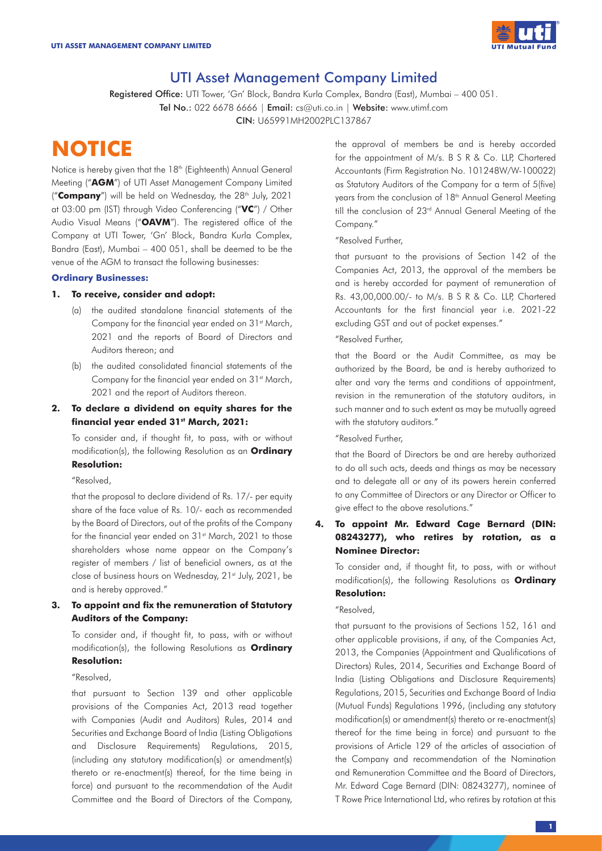

# UTI Asset Management Company Limited

Registered Office: UTI Tower, 'Gn' Block, Bandra Kurla Complex, Bandra (East), Mumbai - 400 051. Tel No.: 022 6678 6666 | Email: cs@uti.co.in | Website: www.utimf.com CIN: U65991MH2002PLC137867

# **NOTICE**

Notice is hereby given that the 18<sup>th</sup> (Eighteenth) Annual General Meeting ("**AGM**") of UTI Asset Management Company Limited ("Company") will be held on Wednesday, the 28<sup>th</sup> July, 2021 at 03:00 pm (IST) through Video Conferencing ("**VC**") / Other Audio Visual Means ("**OAVM**"). The registered office of the Company at UTI Tower, 'Gn' Block, Bandra Kurla Complex, Bandra (East), Mumbai – 400 051, shall be deemed to be the venue of the AGM to transact the following businesses:

### **Ordinary Businesses:**

# **1. To receive, consider and adopt:**

- (a) the audited standalone financial statements of the Company for the financial year ended on 31<sup>st</sup> March, 2021 and the reports of Board of Directors and Auditors thereon; and
- (b) the audited consolidated financial statements of the Company for the financial year ended on 31<sup>st</sup> March, 2021 and the report of Auditors thereon.
- **2. To declare a dividend on equity shares for the financial year ended 31st March, 2021:**

To consider and, if thought fit, to pass, with or without modification(s), the following Resolution as an **Ordinary Resolution:**

#### "Resolved,

that the proposal to declare dividend of Rs. 17/- per equity share of the face value of Rs. 10/- each as recommended by the Board of Directors, out of the profits of the Company for the financial year ended on 31<sup>st</sup> March, 2021 to those shareholders whose name appear on the Company's register of members / list of beneficial owners, as at the close of business hours on Wednesday, 21st July, 2021, be and is hereby approved."

# **3. To appoint and fix the remuneration of Statutory Auditors of the Company:**

To consider and, if thought fit, to pass, with or without modification(s), the following Resolutions as **Ordinary Resolution:**

### "Resolved,

that pursuant to Section 139 and other applicable provisions of the Companies Act, 2013 read together with Companies (Audit and Auditors) Rules, 2014 and Securities and Exchange Board of India (Listing Obligations and Disclosure Requirements) Regulations, 2015, (including any statutory modification(s) or amendment(s) thereto or re-enactment(s) thereof, for the time being in force) and pursuant to the recommendation of the Audit Committee and the Board of Directors of the Company, the approval of members be and is hereby accorded for the appointment of M/s. B S R & Co. LLP, Chartered Accountants (Firm Registration No. 101248W/W-100022) as Statutory Auditors of the Company for a term of 5(five) years from the conclusion of 18<sup>th</sup> Annual General Meeting till the conclusion of 23<sup>rd</sup> Annual General Meeting of the Company."

### "Resolved Further,

that pursuant to the provisions of Section 142 of the Companies Act, 2013, the approval of the members be and is hereby accorded for payment of remuneration of Rs. 43,00,000.00/- to M/s. B S R & Co. LLP, Chartered Accountants for the first financial year i.e. 2021-22 excluding GST and out of pocket expenses."

# "Resolved Further,

that the Board or the Audit Committee, as may be authorized by the Board, be and is hereby authorized to alter and vary the terms and conditions of appointment, revision in the remuneration of the statutory auditors, in such manner and to such extent as may be mutually agreed with the statutory auditors."

# "Resolved Further,

that the Board of Directors be and are hereby authorized to do all such acts, deeds and things as may be necessary and to delegate all or any of its powers herein conferred to any Committee of Directors or any Director or Officer to give effect to the above resolutions."

# **4. To appoint Mr. Edward Cage Bernard (DIN: 08243277), who retires by rotation, as a Nominee Director:**

To consider and, if thought fit, to pass, with or without modification(s), the following Resolutions as **Ordinary Resolution:** 

### "Resolved,

that pursuant to the provisions of Sections 152, 161 and other applicable provisions, if any, of the Companies Act, 2013, the Companies (Appointment and Qualifications of Directors) Rules, 2014, Securities and Exchange Board of India (Listing Obligations and Disclosure Requirements) Regulations, 2015, Securities and Exchange Board of India (Mutual Funds) Regulations 1996, (including any statutory modification(s) or amendment(s) thereto or re-enactment(s) thereof for the time being in force) and pursuant to the provisions of Article 129 of the articles of association of the Company and recommendation of the Nomination and Remuneration Committee and the Board of Directors, Mr. Edward Cage Bernard (DIN: 08243277), nominee of T Rowe Price International Ltd, who retires by rotation at this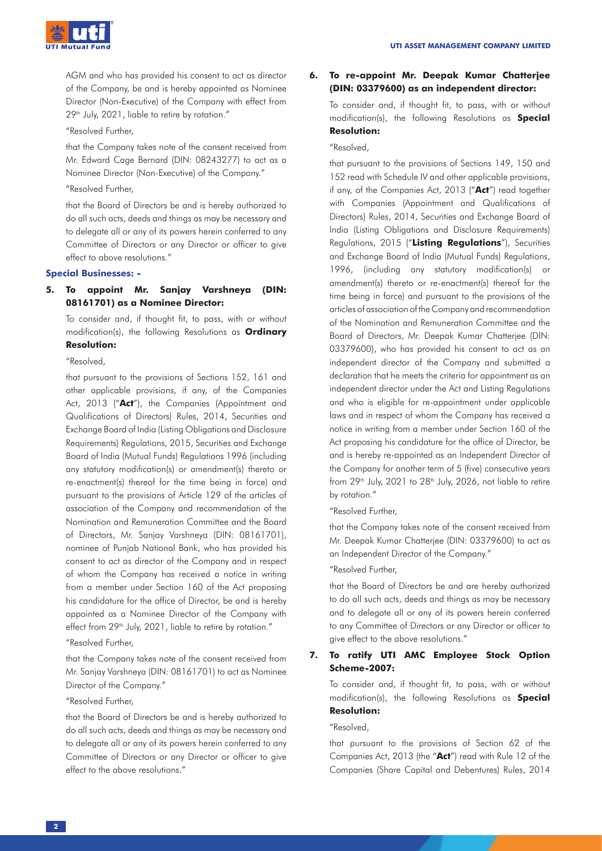

AGM and who has provided his consent to act as director of the Company, be and is hereby appointed as Nominee Director (Non-Executive) of the Company with effect from 29<sup>th</sup> July, 2021, liable to retire by rotation."

"Resolved Further,

that the Company takes note of the consent received from Mr. Edward Cage Bernard (DIN: 08243277) to act as a Nominee Director (Non-Executive) of the Company."

"Resolved Further,

that the Board of Directors be and is hereby authorized to do all such acts, deeds and things as may be necessary and to delegate all or any of its powers herein conferred to any Committee of Directors or any Director or officer to give effect to above resolutions."

# **Special Businesses: -**

# **5. To appoint Mr. Sanjay Varshneya (DIN: 08161701) as a Nominee Director:**

To consider and, if thought fit, to pass, with or without modification(s), the following Resolutions as **Ordinary Resolution:**

"Resolved,

that pursuant to the provisions of Sections 152, 161 and other applicable provisions, if any, of the Companies Act, 2013 ("**Act**"), the Companies (Appointment and Qualifications of Directors) Rules, 2014, Securities and Exchange Board of India (Listing Obligations and Disclosure Requirements) Regulations, 2015, Securities and Exchange Board of India (Mutual Funds) Regulations 1996 (including any statutory modification(s) or amendment(s) thereto or re-enactment(s) thereof for the time being in force) and pursuant to the provisions of Article 129 of the articles of association of the Company and recommendation of the Nomination and Remuneration Committee and the Board of Directors, Mr. Sanjay Varshneya (DIN: 08161701), nominee of Punjab National Bank, who has provided his consent to act as director of the Company and in respect of whom the Company has received a notice in writing from a member under Section 160 of the Act proposing his candidature for the office of Director, be and is hereby appointed as a Nominee Director of the Company with effect from 29<sup>th</sup> July, 2021, liable to retire by rotation."

"Resolved Further,

that the Company takes note of the consent received from Mr. Sanjay Varshneya (DIN: 08161701) to act as Nominee Director of the Company."

# "Resolved Further,

that the Board of Directors be and is hereby authorized to do all such acts, deeds and things as may be necessary and to delegate all or any of its powers herein conferred to any Committee of Directors or any Director or officer to give effect to the above resolutions."

# **6. To re-appoint Mr. Deepak Kumar Chatterjee (DIN: 03379600) as an independent director:**

To consider and, if thought fit, to pass, with or without modification(s), the following Resolutions as **Special Resolution:**

#### "Resolved,

that pursuant to the provisions of Sections 149, 150 and 152 read with Schedule IV and other applicable provisions, if any, of the Companies Act, 2013 ("**Act**") read together with Companies (Appointment and Qualifications of Directors) Rules, 2014, Securities and Exchange Board of India (Listing Obligations and Disclosure Requirements) Regulations, 2015 ("**Listing Regulations**"), Securities and Exchange Board of India (Mutual Funds) Regulations, 1996, (including any statutory modification(s) or amendment(s) thereto or re-enactment(s) thereof for the time being in force) and pursuant to the provisions of the articles of association of the Company and recommendation of the Nomination and Remuneration Committee and the Board of Directors, Mr. Deepak Kumar Chatterjee (DIN: 03379600), who has provided his consent to act as an independent director of the Company and submitted a declaration that he meets the criteria for appointment as an independent director under the Act and Listing Regulations and who is eligible for re-appointment under applicable laws and in respect of whom the Company has received a notice in writing from a member under Section 160 of the Act proposing his candidature for the office of Director, be and is hereby re-appointed as an Independent Director of the Company for another term of 5 (five) consecutive years from  $29<sup>th</sup>$  July,  $2021$  to  $28<sup>th</sup>$  July,  $2026$ , not liable to retire by rotation."

"Resolved Further,

that the Company takes note of the consent received from Mr. Deepak Kumar Chatterjee (DIN: 03379600) to act as an Independent Director of the Company."

# "Resolved Further,

that the Board of Directors be and are hereby authorized to do all such acts, deeds and things as may be necessary and to delegate all or any of its powers herein conferred to any Committee of Directors or any Director or officer to give effect to the above resolutions."

# **7. To ratify UTI AMC Employee Stock Option Scheme-2007:**

To consider and, if thought fit, to pass, with or without modification(s), the following Resolutions as **Special Resolution:**

### "Resolved,

that pursuant to the provisions of Section 62 of the Companies Act, 2013 (the "**Act**") read with Rule 12 of the Companies (Share Capital and Debentures) Rules, 2014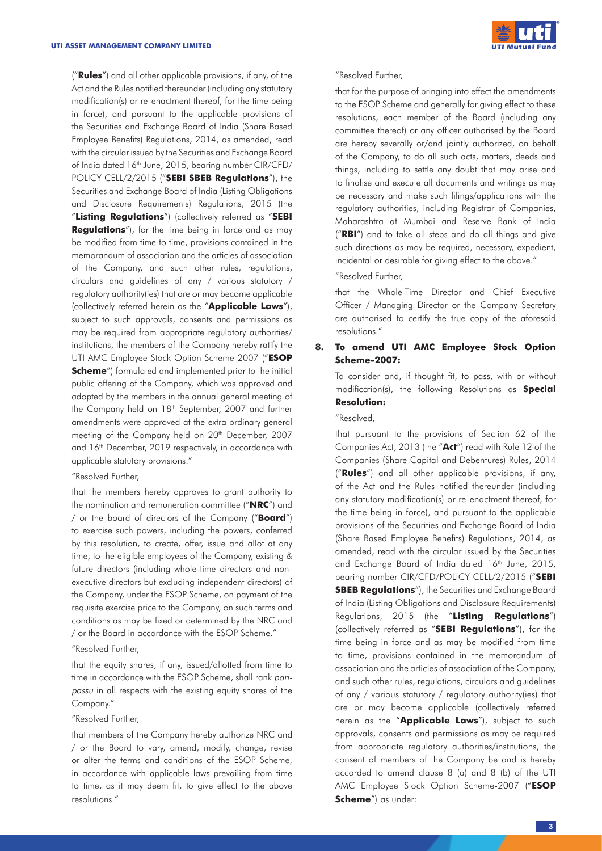("**Rules**") and all other applicable provisions, if any, of the Act and the Rules notified thereunder (including any statutory modification(s) or re-enactment thereof, for the time being in force), and pursuant to the applicable provisions of the Securities and Exchange Board of India (Share Based Employee Benefits) Regulations, 2014, as amended, read with the circular issued by the Securities and Exchange Board of India dated 16<sup>th</sup> June, 2015, bearing number CIR/CFD/ POLICY CELL/2/2015 ("**SEBI SBEB Regulations**"), the Securities and Exchange Board of India (Listing Obligations and Disclosure Requirements) Regulations, 2015 (the "**Listing Regulations**") (collectively referred as "**SEBI Regulations**"), for the time being in force and as may be modified from time to time, provisions contained in the memorandum of association and the articles of association of the Company, and such other rules, regulations, circulars and guidelines of any / various statutory / regulatory authority(ies) that are or may become applicable (collectively referred herein as the "**Applicable Laws**"), subject to such approvals, consents and permissions as may be required from appropriate regulatory authorities/ institutions, the members of the Company hereby ratify the UTI AMC Employee Stock Option Scheme-2007 ("**ESOP Scheme**") formulated and implemented prior to the initial public offering of the Company, which was approved and adopted by the members in the annual general meeting of the Company held on 18<sup>th</sup> September, 2007 and further amendments were approved at the extra ordinary general meeting of the Company held on 20<sup>th</sup> December, 2007 and 16<sup>th</sup> December, 2019 respectively, in accordance with applicable statutory provisions."

#### "Resolved Further,

that the members hereby approves to grant authority to the nomination and remuneration committee ("**NRC**") and / or the board of directors of the Company ("**Board**") to exercise such powers, including the powers, conferred by this resolution, to create, offer, issue and allot at any time, to the eligible employees of the Company, existing & future directors (including whole-time directors and nonexecutive directors but excluding independent directors) of the Company, under the ESOP Scheme, on payment of the requisite exercise price to the Company, on such terms and conditions as may be fixed or determined by the NRC and / or the Board in accordance with the ESOP Scheme."

#### "Resolved Further,

that the equity shares, if any, issued/allotted from time to time in accordance with the ESOP Scheme, shall rank paripassu in all respects with the existing equity shares of the Company."

#### "Resolved Further,

that members of the Company hereby authorize NRC and / or the Board to vary, amend, modify, change, revise or alter the terms and conditions of the ESOP Scheme, in accordance with applicable laws prevailing from time to time, as it may deem fit, to give effect to the above resolutions."



#### "Resolved Further,

that for the purpose of bringing into effect the amendments to the ESOP Scheme and generally for giving effect to these resolutions, each member of the Board (including any committee thereof) or any officer authorised by the Board are hereby severally or/and jointly authorized, on behalf of the Company, to do all such acts, matters, deeds and things, including to settle any doubt that may arise and to finalise and execute all documents and writings as may be necessary and make such filings/applications with the regulatory authorities, including Registrar of Companies, Maharashtra at Mumbai and Reserve Bank of India ("**RBI**") and to take all steps and do all things and give such directions as may be required, necessary, expedient, incidental or desirable for giving effect to the above."

#### "Resolved Further,

that the Whole-Time Director and Chief Executive Officer / Managing Director or the Company Secretary are authorised to certify the true copy of the aforesaid resolutions."

# **8. To amend UTI AMC Employee Stock Option Scheme-2007:**

To consider and, if thought fit, to pass, with or without modification(s), the following Resolutions as **Special Resolution:**

#### "Resolved,

that pursuant to the provisions of Section 62 of the Companies Act, 2013 (the "**Act**") read with Rule 12 of the Companies (Share Capital and Debentures) Rules, 2014 ("**Rules**") and all other applicable provisions, if any, of the Act and the Rules notified thereunder (including any statutory modification(s) or re-enactment thereof, for the time being in force), and pursuant to the applicable provisions of the Securities and Exchange Board of India (Share Based Employee Benefits) Regulations, 2014, as amended, read with the circular issued by the Securities and Exchange Board of India dated 16<sup>th</sup> June, 2015, bearing number CIR/CFD/POLICY CELL/2/2015 ("**SEBI SBEB Regulations**"), the Securities and Exchange Board of India (Listing Obligations and Disclosure Requirements) Regulations, 2015 (the "**Listing Regulations**") (collectively referred as "**SEBI Regulations**"), for the time being in force and as may be modified from time to time, provisions contained in the memorandum of association and the articles of association of the Company, and such other rules, regulations, circulars and guidelines of any / various statutory / regulatory authority(ies) that are or may become applicable (collectively referred herein as the "**Applicable Laws**"), subject to such approvals, consents and permissions as may be required from appropriate regulatory authorities/institutions, the consent of members of the Company be and is hereby accorded to amend clause 8 (a) and 8 (b) of the UTI AMC Employee Stock Option Scheme-2007 ("**ESOP Scheme**") as under: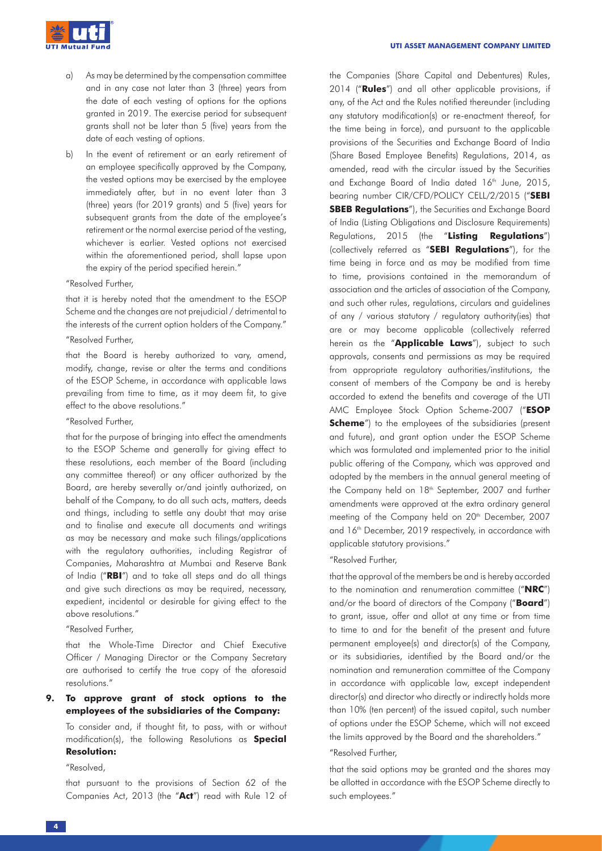

- a) As may be determined by the compensation committee and in any case not later than 3 (three) years from the date of each vesting of options for the options granted in 2019. The exercise period for subsequent grants shall not be later than 5 (five) years from the date of each vesting of options.
- b) In the event of retirement or an early retirement of an employee specifically approved by the Company, the vested options may be exercised by the employee immediately after, but in no event later than 3 (three) years (for 2019 grants) and 5 (five) years for subsequent grants from the date of the employee's retirement or the normal exercise period of the vesting, whichever is earlier. Vested options not exercised within the aforementioned period, shall lapse upon the expiry of the period specified herein."

# "Resolved Further,

that it is hereby noted that the amendment to the ESOP Scheme and the changes are not prejudicial / detrimental to the interests of the current option holders of the Company."

# "Resolved Further,

that the Board is hereby authorized to vary, amend, modify, change, revise or alter the terms and conditions of the ESOP Scheme, in accordance with applicable laws prevailing from time to time, as it may deem fit, to give effect to the above resolutions."

## "Resolved Further,

that for the purpose of bringing into effect the amendments to the ESOP Scheme and generally for giving effect to these resolutions, each member of the Board (including any committee thereof) or any officer authorized by the Board, are hereby severally or/and jointly authorized, on behalf of the Company, to do all such acts, matters, deeds and things, including to settle any doubt that may arise and to finalise and execute all documents and writings as may be necessary and make such filings/applications with the regulatory authorities, including Registrar of Companies, Maharashtra at Mumbai and Reserve Bank of India ("**RBI**") and to take all steps and do all things and give such directions as may be required, necessary, expedient, incidental or desirable for giving effect to the above resolutions."

#### "Resolved Further,

that the Whole-Time Director and Chief Executive Officer / Managing Director or the Company Secretary are authorised to certify the true copy of the aforesaid resolutions."

# **9. To approve grant of stock options to the employees of the subsidiaries of the Company:**

To consider and, if thought fit, to pass, with or without modification(s), the following Resolutions as **Special Resolution:**

#### "Resolved,

that pursuant to the provisions of Section 62 of the Companies Act, 2013 (the "**Act**") read with Rule 12 of the Companies (Share Capital and Debentures) Rules, 2014 ("**Rules**") and all other applicable provisions, if any, of the Act and the Rules notified thereunder (including any statutory modification(s) or re-enactment thereof, for the time being in force), and pursuant to the applicable provisions of the Securities and Exchange Board of India (Share Based Employee Benefits) Regulations, 2014, as amended, read with the circular issued by the Securities and Exchange Board of India dated 16<sup>th</sup> June, 2015, bearing number CIR/CFD/POLICY CELL/2/2015 ("**SEBI SBEB Regulations**"), the Securities and Exchange Board of India (Listing Obligations and Disclosure Requirements) Regulations, 2015 (the "**Listing Regulations**") (collectively referred as "**SEBI Regulations**"), for the time being in force and as may be modified from time to time, provisions contained in the memorandum of association and the articles of association of the Company, and such other rules, regulations, circulars and guidelines of any / various statutory / regulatory authority(ies) that are or may become applicable (collectively referred herein as the "**Applicable Laws**"), subject to such approvals, consents and permissions as may be required from appropriate regulatory authorities/institutions, the consent of members of the Company be and is hereby accorded to extend the benefits and coverage of the UTI AMC Employee Stock Option Scheme-2007 ("**ESOP Scheme**") to the employees of the subsidiaries (present and future), and grant option under the ESOP Scheme which was formulated and implemented prior to the initial public offering of the Company, which was approved and adopted by the members in the annual general meeting of the Company held on 18<sup>th</sup> September, 2007 and further amendments were approved at the extra ordinary general meeting of the Company held on 20<sup>th</sup> December, 2007 and 16<sup>th</sup> December, 2019 respectively, in accordance with applicable statutory provisions."

#### "Resolved Further,

that the approval of the members be and is hereby accorded to the nomination and renumeration committee ("**NRC**") and/or the board of directors of the Company ("**Board**") to grant, issue, offer and allot at any time or from time to time to and for the benefit of the present and future permanent employee(s) and director(s) of the Company, or its subsidiaries, identified by the Board and/or the nomination and remuneration committee of the Company in accordance with applicable law, except independent director(s) and director who directly or indirectly holds more than 10% (ten percent) of the issued capital, such number of options under the ESOP Scheme, which will not exceed the limits approved by the Board and the shareholders."

#### "Resolved Further,

that the said options may be granted and the shares may be allotted in accordance with the ESOP Scheme directly to such employees."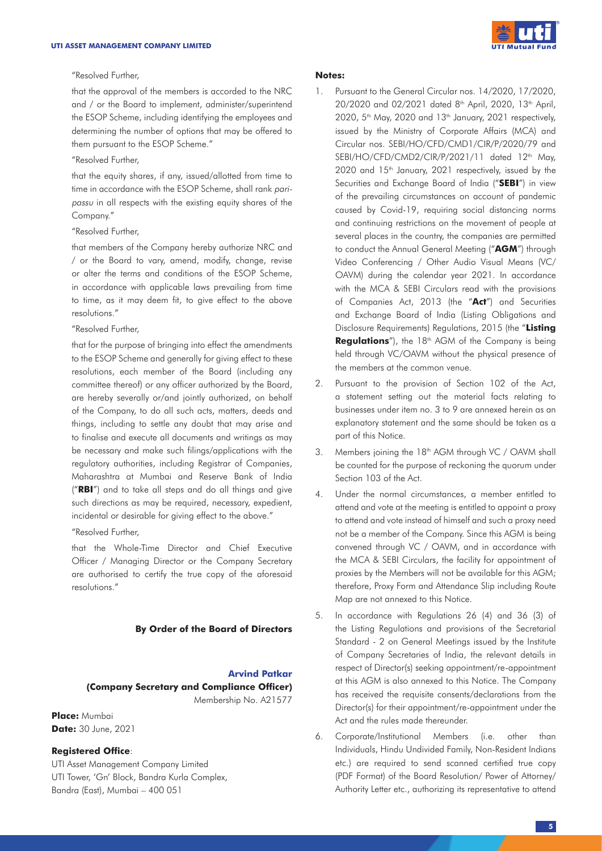

#### "Resolved Further,

that the approval of the members is accorded to the NRC and / or the Board to implement, administer/superintend the ESOP Scheme, including identifying the employees and determining the number of options that may be offered to them pursuant to the ESOP Scheme."

# "Resolved Further,

that the equity shares, if any, issued/allotted from time to time in accordance with the ESOP Scheme, shall rank paripassu in all respects with the existing equity shares of the Company."

#### "Resolved Further,

that members of the Company hereby authorize NRC and / or the Board to vary, amend, modify, change, revise or alter the terms and conditions of the ESOP Scheme, in accordance with applicable laws prevailing from time to time, as it may deem fit, to give effect to the above resolutions."

# "Resolved Further,

that for the purpose of bringing into effect the amendments to the ESOP Scheme and generally for giving effect to these resolutions, each member of the Board (including any committee thereof) or any officer authorized by the Board, are hereby severally or/and jointly authorized, on behalf of the Company, to do all such acts, matters, deeds and things, including to settle any doubt that may arise and to finalise and execute all documents and writings as may be necessary and make such filings/applications with the regulatory authorities, including Registrar of Companies, Maharashtra at Mumbai and Reserve Bank of India ("**RBI**") and to take all steps and do all things and give such directions as may be required, necessary, expedient, incidental or desirable for giving effect to the above."

"Resolved Further,

that the Whole-Time Director and Chief Executive Officer / Managing Director or the Company Secretary are authorised to certify the true copy of the aforesaid resolutions."

### **By Order of the Board of Directors**

# **Arvind Patkar (Company Secretary and Compliance Officer)** Membership No. A21577

**Place:** Mumbai **Date:** 30 June, 2021

### **Registered Office**:

UTI Asset Management Company Limited UTI Tower, 'Gn' Block, Bandra Kurla Complex, Bandra (East), Mumbai – 400 051

#### **Notes:**

- 1. Pursuant to the General Circular nos. 14/2020, 17/2020, 20/2020 and 02/2021 dated 8<sup>th</sup> April, 2020, 13<sup>th</sup> April,  $2020$ ,  $5<sup>th</sup>$  May, 2020 and 13<sup>th</sup> January, 2021 respectively, issued by the Ministry of Corporate Affairs (MCA) and Circular nos. SEBI/HO/CFD/CMD1/CIR/P/2020/79 and SEBI/HO/CFD/CMD2/CIR/P/2021/11 dated 12<sup>th</sup> May, 2020 and 15<sup>th</sup> January, 2021 respectively, issued by the Securities and Exchange Board of India ("**SEBI**") in view of the prevailing circumstances on account of pandemic caused by Covid-19, requiring social distancing norms and continuing restrictions on the movement of people at several places in the country, the companies are permitted to conduct the Annual General Meeting ("**AGM**") through Video Conferencing / Other Audio Visual Means (VC/ OAVM) during the calendar year 2021. In accordance with the MCA & SEBI Circulars read with the provisions of Companies Act, 2013 (the "**Act**") and Securities and Exchange Board of India (Listing Obligations and Disclosure Requirements) Regulations, 2015 (the "**Listing**  Regulations"), the 18<sup>th</sup> AGM of the Company is being held through VC/OAVM without the physical presence of the members at the common venue.
- 2. Pursuant to the provision of Section 102 of the Act, a statement setting out the material facts relating to businesses under item no. 3 to 9 are annexed herein as an explanatory statement and the same should be taken as a part of this Notice.
- 3. Members joining the 18<sup>th</sup> AGM through VC / OAVM shall be counted for the purpose of reckoning the quorum under Section 103 of the Act.
- 4. Under the normal circumstances, a member entitled to attend and vote at the meeting is entitled to appoint a proxy to attend and vote instead of himself and such a proxy need not be a member of the Company. Since this AGM is being convened through VC / OAVM, and in accordance with the MCA & SEBI Circulars, the facility for appointment of proxies by the Members will not be available for this AGM; therefore, Proxy Form and Attendance Slip including Route Map are not annexed to this Notice.
- 5. In accordance with Regulations 26 (4) and 36 (3) of the Listing Regulations and provisions of the Secretarial Standard - 2 on General Meetings issued by the Institute of Company Secretaries of India, the relevant details in respect of Director(s) seeking appointment/re-appointment at this AGM is also annexed to this Notice. The Company has received the requisite consents/declarations from the Director(s) for their appointment/re-appointment under the Act and the rules made thereunder.
- 6. Corporate/Institutional Members (i.e. other than Individuals, Hindu Undivided Family, Non-Resident Indians etc.) are required to send scanned certified true copy (PDF Format) of the Board Resolution/ Power of Attorney/ Authority Letter etc., authorizing its representative to attend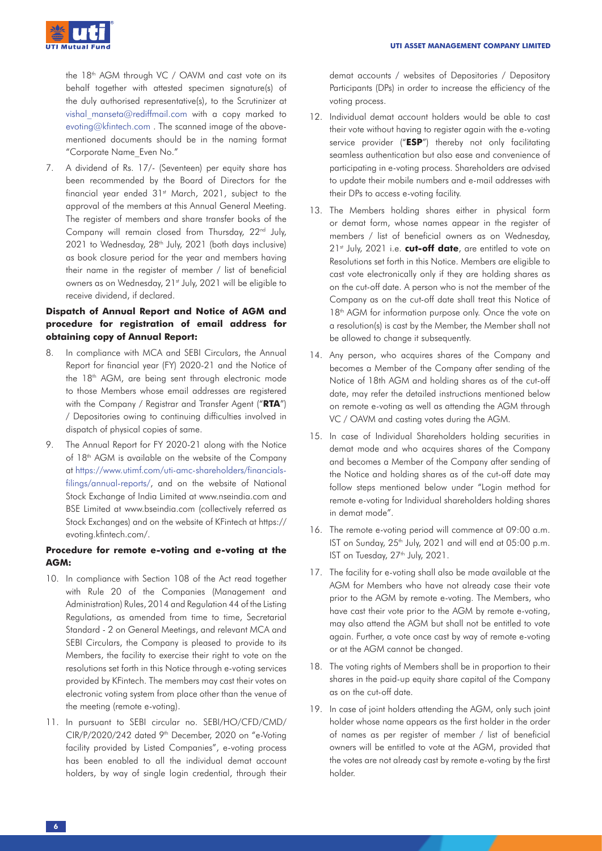

the 18<sup>th</sup> AGM through VC / OAVM and cast vote on its behalf together with attested specimen signature(s) of the duly authorised representative(s), to the Scrutinizer at vishal manseta@rediffmail.com with a copy marked to evoting@kfintech.com . The scanned image of the abovementioned documents should be in the naming format "Corporate Name\_Even No."

7. A dividend of Rs. 17/- (Seventeen) per equity share has been recommended by the Board of Directors for the financial year ended 31<sup>st</sup> March, 2021, subject to the approval of the members at this Annual General Meeting. The register of members and share transfer books of the Company will remain closed from Thursday, 22<sup>nd</sup> July, 2021 to Wednesday, 28<sup>th</sup> July, 2021 (both days inclusive) as book closure period for the year and members having their name in the register of member / list of beneficial owners as on Wednesday, 21<sup>st</sup> July, 2021 will be eligible to receive dividend, if declared.

# **Dispatch of Annual Report and Notice of AGM and procedure for registration of email address for obtaining copy of Annual Report:**

- 8. In compliance with MCA and SEBI Circulars, the Annual Report for financial year (FY) 2020-21 and the Notice of the 18<sup>th</sup> AGM, are being sent through electronic mode to those Members whose email addresses are registered with the Company / Registrar and Transfer Agent ("**RTA**") / Depositories owing to continuing difficulties involved in dispatch of physical copies of same.
- 9. The Annual Report for FY 2020-21 along with the Notice of 18<sup>th</sup> AGM is available on the website of the Company at https://www.utimf.com/uti-amc-shareholders/financialsfilings/annual-reports/, and on the website of National Stock Exchange of India Limited at www.nseindia.com and BSE Limited at www.bseindia.com (collectively referred as Stock Exchanges) and on the website of KFintech at https:// evoting.kfintech.com/.

# **Procedure for remote e-voting and e-voting at the AGM:**

- 10. In compliance with Section 108 of the Act read together with Rule 20 of the Companies (Management and Administration) Rules, 2014 and Regulation 44 of the Listing Regulations, as amended from time to time, Secretarial Standard - 2 on General Meetings, and relevant MCA and SEBI Circulars, the Company is pleased to provide to its Members, the facility to exercise their right to vote on the resolutions set forth in this Notice through e-voting services provided by KFintech. The members may cast their votes on electronic voting system from place other than the venue of the meeting (remote e-voting).
- 11. In pursuant to SEBI circular no. SEBI/HO/CFD/CMD/ CIR/P/2020/242 dated 9th December, 2020 on "e-Voting facility provided by Listed Companies", e-voting process has been enabled to all the individual demat account holders, by way of single login credential, through their

demat accounts / websites of Depositories / Depository Participants (DPs) in order to increase the efficiency of the voting process.

- 12. Individual demat account holders would be able to cast their vote without having to register again with the e-voting service provider ("**ESP**") thereby not only facilitating seamless authentication but also ease and convenience of participating in e-voting process. Shareholders are advised to update their mobile numbers and e-mail addresses with their DPs to access e-voting facility.
- 13. The Members holding shares either in physical form or demat form, whose names appear in the register of members / list of beneficial owners as on Wednesday, 21st July, 2021 i.e. **cut-off date**, are entitled to vote on Resolutions set forth in this Notice. Members are eligible to cast vote electronically only if they are holding shares as on the cut-off date. A person who is not the member of the Company as on the cut-off date shall treat this Notice of 18<sup>th</sup> AGM for information purpose only. Once the vote on a resolution(s) is cast by the Member, the Member shall not be allowed to change it subsequently.
- 14. Any person, who acquires shares of the Company and becomes a Member of the Company after sending of the Notice of 18th AGM and holding shares as of the cut-off date, may refer the detailed instructions mentioned below on remote e-voting as well as attending the AGM through VC / OAVM and casting votes during the AGM.
- 15. In case of Individual Shareholders holding securities in demat mode and who acquires shares of the Company and becomes a Member of the Company after sending of the Notice and holding shares as of the cut-off date may follow steps mentioned below under "Login method for remote e-voting for Individual shareholders holding shares in demat mode".
- 16. The remote e-voting period will commence at 09:00 a.m. IST on Sunday, 25<sup>th</sup> July, 2021 and will end at 05:00 p.m. IST on Tuesday, 27<sup>th</sup> July, 2021.
- 17. The facility for e-voting shall also be made available at the AGM for Members who have not already case their vote prior to the AGM by remote e-voting. The Members, who have cast their vote prior to the AGM by remote e-voting, may also attend the AGM but shall not be entitled to vote again. Further, a vote once cast by way of remote e-voting or at the AGM cannot be changed.
- 18. The voting rights of Members shall be in proportion to their shares in the paid-up equity share capital of the Company as on the cut-off date.
- 19. In case of joint holders attending the AGM, only such joint holder whose name appears as the first holder in the order of names as per register of member / list of beneficial owners will be entitled to vote at the AGM, provided that the votes are not already cast by remote e-voting by the first holder.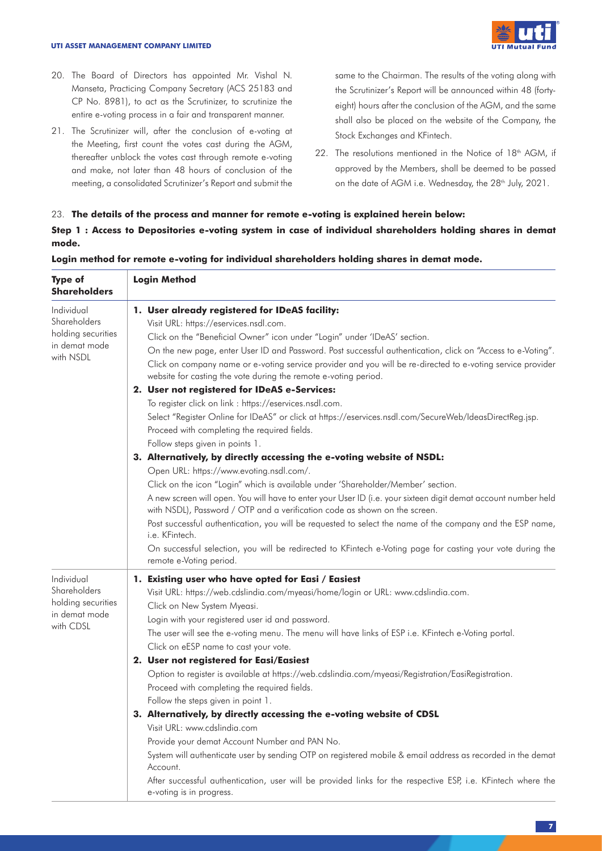#### **UTI ASSET MANAGEMENT COMPANY LIMITED**



- 20. The Board of Directors has appointed Mr. Vishal N. Manseta, Practicing Company Secretary (ACS 25183 and CP No. 8981), to act as the Scrutinizer, to scrutinize the entire e-voting process in a fair and transparent manner.
- 21. The Scrutinizer will, after the conclusion of e-voting at the Meeting, first count the votes cast during the AGM, thereafter unblock the votes cast through remote e-voting and make, not later than 48 hours of conclusion of the meeting, a consolidated Scrutinizer's Report and submit the

same to the Chairman. The results of the voting along with the Scrutinizer's Report will be announced within 48 (fortyeight) hours after the conclusion of the AGM, and the same shall also be placed on the website of the Company, the Stock Exchanges and KFintech.

22. The resolutions mentioned in the Notice of 18<sup>th</sup> AGM, if approved by the Members, shall be deemed to be passed on the date of AGM i.e. Wednesday, the 28<sup>th</sup> July, 2021.

# 23. **The details of the process and manner for remote e-voting is explained herein below:**

**Step 1 : Access to Depositories e-voting system in case of individual shareholders holding shares in demat mode.**

| <b>Type of</b><br><b>Shareholders</b>                                          | <b>Login Method</b>                                                                                                                                                                                                                                                                                                                                                                                                                                                                                                                                                                                                                                                                                                                                                                                                                                                                                                                                                                                                                                                                                                                                                                                                                                                                                                                                                                                                                                              |  |  |
|--------------------------------------------------------------------------------|------------------------------------------------------------------------------------------------------------------------------------------------------------------------------------------------------------------------------------------------------------------------------------------------------------------------------------------------------------------------------------------------------------------------------------------------------------------------------------------------------------------------------------------------------------------------------------------------------------------------------------------------------------------------------------------------------------------------------------------------------------------------------------------------------------------------------------------------------------------------------------------------------------------------------------------------------------------------------------------------------------------------------------------------------------------------------------------------------------------------------------------------------------------------------------------------------------------------------------------------------------------------------------------------------------------------------------------------------------------------------------------------------------------------------------------------------------------|--|--|
| Individual<br>Shareholders<br>holding securities<br>in demat mode<br>with NSDL | 1. User already registered for IDeAS facility:<br>Visit URL: https://eservices.nsdl.com.<br>Click on the "Beneficial Owner" icon under "Login" under 'IDeAS' section.<br>On the new page, enter User ID and Password. Post successful authentication, click on "Access to e-Voting".<br>Click on company name or e-voting service provider and you will be re-directed to e-voting service provider<br>website for casting the vote during the remote e-voting period.<br>2. User not registered for IDeAS e-Services:<br>To register click on link : https://eservices.nsdl.com.<br>Select "Register Online for IDeAS" or click at https://eservices.nsdl.com/SecureWeb/IdeasDirectReg.jsp.<br>Proceed with completing the required fields.<br>Follow steps given in points 1.<br>3. Alternatively, by directly accessing the e-voting website of NSDL:<br>Open URL: https://www.evoting.nsdl.com/.<br>Click on the icon "Login" which is available under 'Shareholder/Member' section.<br>A new screen will open. You will have to enter your User ID (i.e. your sixteen digit demat account number held<br>with NSDL), Password / OTP and a verification code as shown on the screen.<br>Post successful authentication, you will be requested to select the name of the company and the ESP name,<br>i.e. KFintech.<br>On successful selection, you will be redirected to KFintech e-Voting page for casting your vote during the<br>remote e-Voting period. |  |  |
| Individual<br>Shareholders<br>holding securities<br>in demat mode<br>with CDSL | 1. Existing user who have opted for Easi / Easiest<br>Visit URL: https://web.cdslindia.com/myeasi/home/login or URL: www.cdslindia.com.<br>Click on New System Myeasi.<br>Login with your registered user id and password.<br>The user will see the e-voting menu. The menu will have links of ESP i.e. KFintech e-Voting portal.<br>Click on eESP name to cast your vote.<br>2. User not registered for Easi/Easiest<br>Option to register is available at https://web.cdslindia.com/myeasi/Registration/EasiRegistration.<br>Proceed with completing the required fields.<br>Follow the steps given in point 1.<br>3. Alternatively, by directly accessing the e-voting website of CDSL<br>Visit URL: www.cdslindia.com<br>Provide your demat Account Number and PAN No.<br>System will authenticate user by sending OTP on registered mobile & email address as recorded in the demat<br>Account.<br>After successful authentication, user will be provided links for the respective ESP, i.e. KFintech where the<br>e-voting is in progress.                                                                                                                                                                                                                                                                                                                                                                                                                 |  |  |

### **Login method for remote e-voting for individual shareholders holding shares in demat mode.**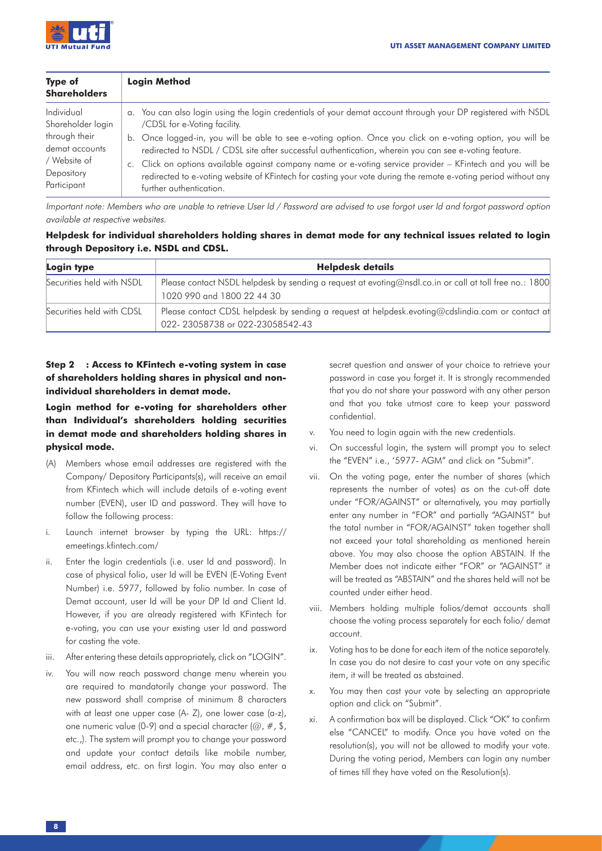

| <b>Type of</b><br><b>Shareholders</b> | <b>Login Method</b>                                                                                            |
|---------------------------------------|----------------------------------------------------------------------------------------------------------------|
| Individual                            | a. You can also login using the login credentials of your demat account through your DP registered with NSDL   |
| Shareholder login                     | /CDSL for e-Voting facility.                                                                                   |
| through their                         | b. Once logged-in, you will be able to see e-voting option. Once you click on e-voting option, you will be     |
| demat accounts                        | redirected to NSDL / CDSL site after successful authentication, wherein you can see e-voting feature.          |
| / Website of                          | c. Click on options available against company name or e-voting service provider – KFintech and you will be     |
| Depository                            | redirected to e-voting website of KFintech for casting your vote during the remote e-voting period without any |
| Participant                           | further authentication.                                                                                        |

Important note: Members who are unable to retrieve User Id / Password are advised to use forgot user Id and forgot password option available at respective websites.

# **Helpdesk for individual shareholders holding shares in demat mode for any technical issues related to login through Depository i.e. NSDL and CDSL.**

| Login type                | <b>Helpdesk details</b>                                                                                                              |  |  |  |
|---------------------------|--------------------------------------------------------------------------------------------------------------------------------------|--|--|--|
| Securities held with NSDL | Please contact NSDL helpdesk by sending a request at evoting@nsdl.co.in or call at toll free no.: 1800<br>1020 990 and 1800 22 44 30 |  |  |  |
| Securities held with CDSL | Please contact CDSL helpdesk by sending a request at helpdesk.evoting@cdslindia.com or contact at<br>022-23058738 or 022-23058542-43 |  |  |  |

# **Step 2 : Access to KFintech e-voting system in case of shareholders holding shares in physical and nonindividual shareholders in demat mode.**

# **Login method for e-voting for shareholders other than Individual's shareholders holding securities in demat mode and shareholders holding shares in physical mode.**

- (A) Members whose email addresses are registered with the Company/ Depository Participants(s), will receive an email from KFintech which will include details of e-voting event number (EVEN), user ID and password. They will have to follow the following process:
- i. Launch internet browser by typing the URL: https:// emeetings.kfintech.com/
- ii. Enter the login credentials (i.e. user Id and password). In case of physical folio, user Id will be EVEN (E-Voting Event Number) i.e. 5977, followed by folio number. In case of Demat account, user Id will be your DP Id and Client Id. However, if you are already registered with KFintech for e-voting, you can use your existing user Id and password for casting the vote.
- iii. After entering these details appropriately, click on "LOGIN".
- iv. You will now reach password change menu wherein you are required to mandatorily change your password. The new password shall comprise of minimum 8 characters with at least one upper case (A- Z), one lower case (a-z), one numeric value (0-9) and a special character ( $\omega$ , #, \$, etc.,). The system will prompt you to change your password and update your contact details like mobile number, email address, etc. on first login. You may also enter a

secret question and answer of your choice to retrieve your password in case you forget it. It is strongly recommended that you do not share your password with any other person and that you take utmost care to keep your password confidential.

- v. You need to login again with the new credentials.
- vi. On successful login, the system will prompt you to select the "EVEN" i.e., '5977- AGM" and click on "Submit".
- vii. On the voting page, enter the number of shares (which represents the number of votes) as on the cut-off date under "FOR/AGAINST" or alternatively, you may partially enter any number in "FOR" and partially "AGAINST" but the total number in "FOR/AGAINST" taken together shall not exceed your total shareholding as mentioned herein above. You may also choose the option ABSTAIN. If the Member does not indicate either "FOR" or "AGAINST" it will be treated as "ABSTAIN" and the shares held will not be counted under either head.
- viii. Members holding multiple folios/demat accounts shall choose the voting process separately for each folio/ demat account.
- ix. Voting has to be done for each item of the notice separately. In case you do not desire to cast your vote on any specific item, it will be treated as abstained.
- x. You may then cast your vote by selecting an appropriate option and click on "Submit".
- xi. A confirmation box will be displayed. Click "OK" to confirm else "CANCEL" to modify. Once you have voted on the resolution(s), you will not be allowed to modify your vote. During the voting period, Members can login any number of times till they have voted on the Resolution(s).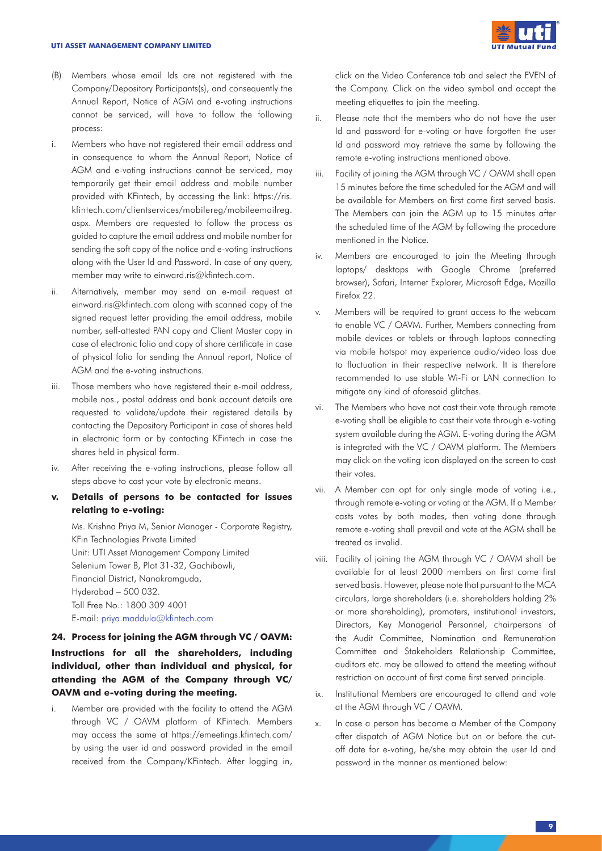#### **UTI ASSET MANAGEMENT COMPANY LIMITED**



- (B) Members whose email Ids are not registered with the Company/Depository Participants(s), and consequently the Annual Report, Notice of AGM and e-voting instructions cannot be serviced, will have to follow the following process:
- i. Members who have not registered their email address and in consequence to whom the Annual Report, Notice of AGM and e-voting instructions cannot be serviced, may temporarily get their email address and mobile number provided with KFintech, by accessing the link: https://ris. kfintech.com/clientservices/mobilereg/mobileemailreg. aspx. Members are requested to follow the process as guided to capture the email address and mobile number for sending the soft copy of the notice and e-voting instructions along with the User Id and Password. In case of any query, member may write to einward.ris@kfintech.com.
- ii. Alternatively, member may send an e-mail request at einward.ris@kfintech.com along with scanned copy of the signed request letter providing the email address, mobile number, self-attested PAN copy and Client Master copy in case of electronic folio and copy of share certificate in case of physical folio for sending the Annual report, Notice of AGM and the e-voting instructions.
- iii. Those members who have registered their e-mail address, mobile nos., postal address and bank account details are requested to validate/update their registered details by contacting the Depository Participant in case of shares held in electronic form or by contacting KFintech in case the shares held in physical form.
- iv. After receiving the e-voting instructions, please follow all steps above to cast your vote by electronic means.
- **v. Details of persons to be contacted for issues relating to e-voting:**

Ms. Krishna Priya M, Senior Manager - Corporate Registry, KFin Technologies Private Limited Unit: UTI Asset Management Company Limited Selenium Tower B, Plot 31-32, Gachibowli, Financial District, Nanakramguda, Hyderabad – 500 032. Toll Free No.: 1800 309 4001 E-mail: priya.maddula@kfintech.com

# **24. Process for joining the AGM through VC / OAVM: Instructions for all the shareholders, including individual, other than individual and physical, for attending the AGM of the Company through VC/ OAVM and e-voting during the meeting.**

i. Member are provided with the facility to attend the AGM through VC / OAVM platform of KFintech. Members may access the same at https://emeetings.kfintech.com/ by using the user id and password provided in the email received from the Company/KFintech. After logging in,

click on the Video Conference tab and select the EVEN of the Company. Click on the video symbol and accept the meeting etiquettes to join the meeting.

- ii. Please note that the members who do not have the user Id and password for e-voting or have forgotten the user Id and password may retrieve the same by following the remote e-voting instructions mentioned above.
- iii. Facility of joining the AGM through VC / OAVM shall open 15 minutes before the time scheduled for the AGM and will be available for Members on first come first served basis. The Members can join the AGM up to 15 minutes after the scheduled time of the AGM by following the procedure mentioned in the Notice.
- iv. Members are encouraged to join the Meeting through laptops/ desktops with Google Chrome (preferred browser), Safari, Internet Explorer, Microsoft Edge, Mozilla Firefox 22.
- v. Members will be required to grant access to the webcam to enable VC / OAVM. Further, Members connecting from mobile devices or tablets or through laptops connecting via mobile hotspot may experience audio/video loss due to fluctuation in their respective network. It is therefore recommended to use stable Wi-Fi or LAN connection to mitigate any kind of aforesaid glitches.
- vi. The Members who have not cast their vote through remote e-voting shall be eligible to cast their vote through e-voting system available during the AGM. E-voting during the AGM is integrated with the VC / OAVM platform. The Members may click on the voting icon displayed on the screen to cast their votes.
- vii. A Member can opt for only single mode of voting i.e., through remote e-voting or voting at the AGM. If a Member casts votes by both modes, then voting done through remote e-voting shall prevail and vote at the AGM shall be treated as invalid.
- viii. Facility of joining the AGM through VC / OAVM shall be available for at least 2000 members on first come first served basis. However, please note that pursuant to the MCA circulars, large shareholders (i.e. shareholders holding 2% or more shareholding), promoters, institutional investors, Directors, Key Managerial Personnel, chairpersons of the Audit Committee, Nomination and Remuneration Committee and Stakeholders Relationship Committee, auditors etc. may be allowed to attend the meeting without restriction on account of first come first served principle.
- ix. Institutional Members are encouraged to attend and vote at the AGM through VC / OAVM.
- x. In case a person has become a Member of the Company after dispatch of AGM Notice but on or before the cutoff date for e-voting, he/she may obtain the user Id and password in the manner as mentioned below: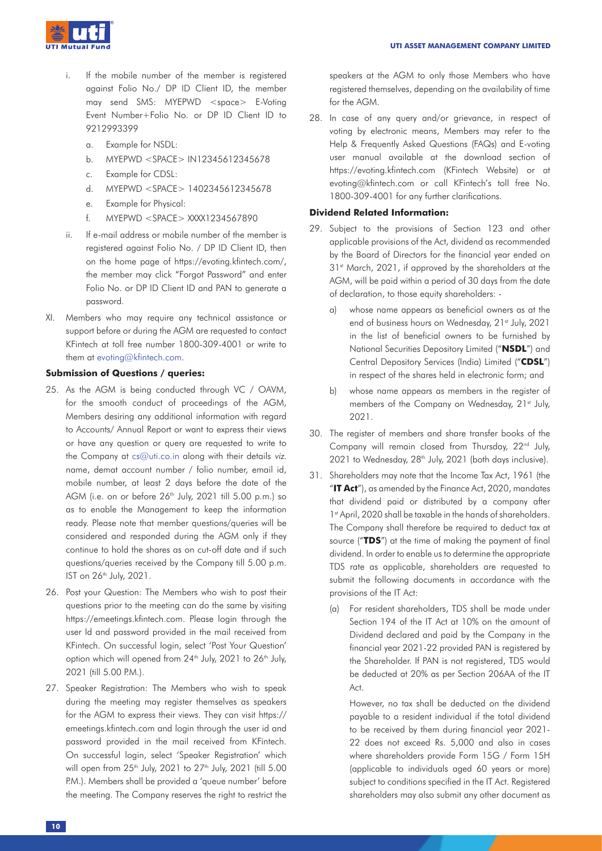- i. If the mobile number of the member is registered against Folio No./ DP ID Client ID, the member may send SMS: MYEPWD <space> E-Voting Event Number+Folio No. or DP ID Client ID to 9212993399
	- a. Example for NSDL:
	- b. MYEPWD <SPACE> IN12345612345678
	- c. Example for CDSL:
	- d. MYEPWD <SPACE> 1402345612345678
	- e. Example for Physical:
	- f. MYEPWD <SPACE> XXXX1234567890
- ii. If e-mail address or mobile number of the member is registered against Folio No. / DP ID Client ID, then on the home page of https://evoting.kfintech.com/, the member may click "Forgot Password" and enter Folio No. or DP ID Client ID and PAN to generate a password.
- XI. Members who may require any technical assistance or support before or during the AGM are requested to contact KFintech at toll free number 1800-309-4001 or write to them at evoting@kfintech.com.

## **Submission of Questions / queries:**

- 25. As the AGM is being conducted through VC / OAVM, for the smooth conduct of proceedings of the AGM, Members desiring any additional information with regard to Accounts/ Annual Report or want to express their views or have any question or query are requested to write to the Company at cs@uti.co.in along with their details viz. name, demat account number / folio number, email id, mobile number, at least 2 days before the date of the AGM (i.e. on or before  $26<sup>th</sup>$  July, 2021 till 5.00 p.m.) so as to enable the Management to keep the information ready. Please note that member questions/queries will be considered and responded during the AGM only if they continue to hold the shares as on cut-off date and if such questions/queries received by the Company till 5.00 p.m. IST on 26th July, 2021.
- 26. Post your Question: The Members who wish to post their questions prior to the meeting can do the same by visiting https://emeetings.kfintech.com. Please login through the user Id and password provided in the mail received from KFintech. On successful login, select 'Post Your Question' option which will opened from 24<sup>th</sup> July, 2021 to 26<sup>th</sup> July, 2021 (till 5.00 P.M.).
- 27. Speaker Registration: The Members who wish to speak during the meeting may register themselves as speakers for the AGM to express their views. They can visit https:// emeetings.kfintech.com and login through the user id and password provided in the mail received from KFintech. On successful login, select 'Speaker Registration' which will open from 25<sup>th</sup> July, 2021 to 27<sup>th</sup> July, 2021 (till 5.00 P.M.). Members shall be provided a 'queue number' before the meeting. The Company reserves the right to restrict the

speakers at the AGM to only those Members who have registered themselves, depending on the availability of time for the AGM.

28. In case of any query and/or grievance, in respect of voting by electronic means, Members may refer to the Help & Frequently Asked Questions (FAQs) and E-voting user manual available at the download section of https://evoting.kfintech.com (KFintech Website) or at evoting@kfintech.com or call KFintech's toll free No. 1800-309-4001 for any further clarifications.

# **Dividend Related Information:**

- 29. Subject to the provisions of Section 123 and other applicable provisions of the Act, dividend as recommended by the Board of Directors for the financial year ended on 31<sup>st</sup> March, 2021, if approved by the shareholders at the AGM, will be paid within a period of 30 days from the date of declaration, to those equity shareholders:
	- a) whose name appears as beneficial owners as at the end of business hours on Wednesday, 21st July, 2021 in the list of beneficial owners to be furnished by National Securities Depository Limited ("**NSDL**") and Central Depository Services (India) Limited ("**CDSL**") in respect of the shares held in electronic form; and
	- b) whose name appears as members in the register of members of the Company on Wednesday, 21<sup>st</sup> July, 2021.
- 30. The register of members and share transfer books of the Company will remain closed from Thursday, 22<sup>nd</sup> July, 2021 to Wednesday, 28<sup>th</sup> July, 2021 (both days inclusive).
- 31. Shareholders may note that the Income Tax Act, 1961 (the "**IT Act**"), as amended by the Finance Act, 2020, mandates that dividend paid or distributed by a company after 1st April, 2020 shall be taxable in the hands of shareholders. The Company shall therefore be required to deduct tax at source ("**TDS**") at the time of making the payment of final dividend. In order to enable us to determine the appropriate TDS rate as applicable, shareholders are requested to submit the following documents in accordance with the provisions of the IT Act:
	- (a) For resident shareholders, TDS shall be made under Section 194 of the IT Act at 10% on the amount of Dividend declared and paid by the Company in the financial year 2021-22 provided PAN is registered by the Shareholder. If PAN is not registered, TDS would be deducted at 20% as per Section 206AA of the IT Act.

However, no tax shall be deducted on the dividend payable to a resident individual if the total dividend to be received by them during financial year 2021- 22 does not exceed Rs. 5,000 and also in cases where shareholders provide Form 15G / Form 15H (applicable to individuals aged 60 years or more) subject to conditions specified in the IT Act. Registered shareholders may also submit any other document as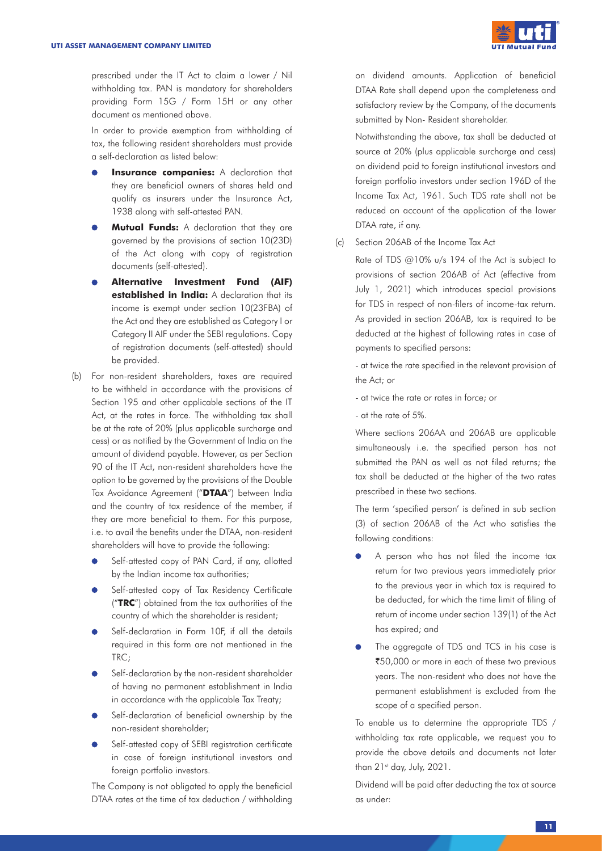

prescribed under the IT Act to claim a lower / Nil withholding tax. PAN is mandatory for shareholders providing Form 15G / Form 15H or any other document as mentioned above.

In order to provide exemption from withholding of tax, the following resident shareholders must provide a self-declaration as listed below:

- **Insurance companies:** A declaration that they are beneficial owners of shares held and qualify as insurers under the Insurance Act, 1938 along with self-attested PAN.
- **Mutual Funds:** A declaration that they are governed by the provisions of section 10(23D) of the Act along with copy of registration documents (self-attested).
- **Alternative Investment Fund (AIF) established in India:** A declaration that its income is exempt under section 10(23FBA) of the Act and they are established as Category I or Category II AIF under the SEBI regulations. Copy of registration documents (self-attested) should be provided.
- (b) For non-resident shareholders, taxes are required to be withheld in accordance with the provisions of Section 195 and other applicable sections of the IT Act, at the rates in force. The withholding tax shall be at the rate of 20% (plus applicable surcharge and cess) or as notified by the Government of India on the amount of dividend payable. However, as per Section 90 of the IT Act, non-resident shareholders have the option to be governed by the provisions of the Double Tax Avoidance Agreement ("**DTAA**") between India and the country of tax residence of the member, if they are more beneficial to them. For this purpose, i.e. to avail the benefits under the DTAA, non-resident shareholders will have to provide the following:
	- $\bullet$ Self-attested copy of PAN Card, if any, allotted by the Indian income tax authorities;
	- Self-attested copy of Tax Residency Certificate ("**TRC**") obtained from the tax authorities of the country of which the shareholder is resident;
	- Self-declaration in Form 10F, if all the details required in this form are not mentioned in the TRC;
	- Self-declaration by the non-resident shareholder of having no permanent establishment in India in accordance with the applicable Tax Treaty;
	- Self-declaration of beneficial ownership by the non-resident shareholder;
	- Self-attested copy of SEBI registration certificate in case of foreign institutional investors and foreign portfolio investors.

The Company is not obligated to apply the beneficial DTAA rates at the time of tax deduction / withholding on dividend amounts. Application of beneficial DTAA Rate shall depend upon the completeness and satisfactory review by the Company, of the documents submitted by Non- Resident shareholder.

Notwithstanding the above, tax shall be deducted at source at 20% (plus applicable surcharge and cess) on dividend paid to foreign institutional investors and foreign portfolio investors under section 196D of the Income Tax Act, 1961. Such TDS rate shall not be reduced on account of the application of the lower DTAA rate, if any.

(c) Section 206AB of the Income Tax Act

Rate of TDS @10% u/s 194 of the Act is subject to provisions of section 206AB of Act (effective from July 1, 2021) which introduces special provisions for TDS in respect of non-filers of income-tax return. As provided in section 206AB, tax is required to be deducted at the highest of following rates in case of payments to specified persons:

- at twice the rate specified in the relevant provision of the Act; or

- at twice the rate or rates in force; or
- at the rate of 5%.

Where sections 206AA and 206AB are applicable simultaneously i.e. the specified person has not submitted the PAN as well as not filed returns; the tax shall be deducted at the higher of the two rates prescribed in these two sections.

The term 'specified person' is defined in sub section (3) of section 206AB of the Act who satisfies the following conditions:

- A person who has not filed the income tax return for two previous years immediately prior to the previous year in which tax is required to be deducted, for which the time limit of filing of return of income under section 139(1) of the Act has expired; and
- The aggregate of TDS and TCS in his case is `50,000 or more in each of these two previous years. The non-resident who does not have the permanent establishment is excluded from the scope of a specified person.

To enable us to determine the appropriate TDS / withholding tax rate applicable, we request you to provide the above details and documents not later than 21st day, July, 2021.

Dividend will be paid after deducting the tax at source as under: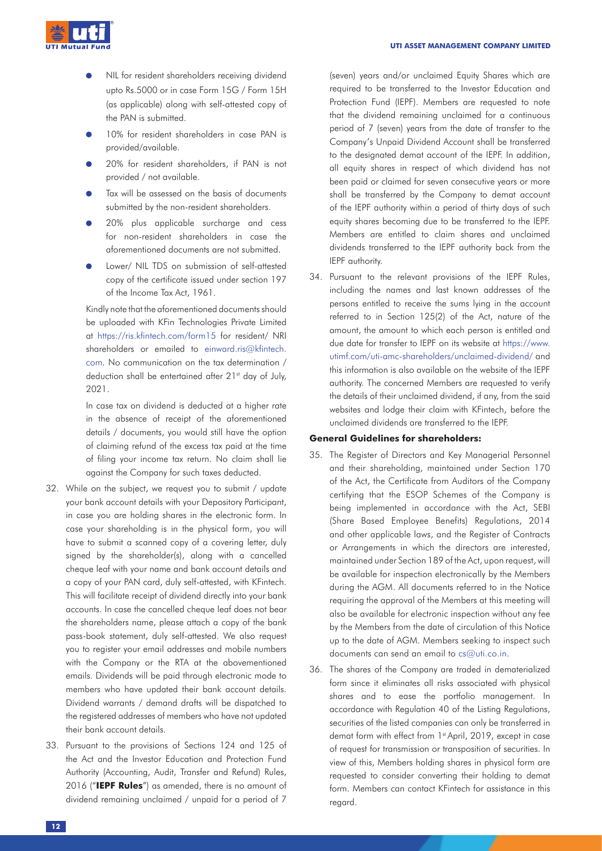

- NIL for resident shareholders receiving dividend upto Rs.5000 or in case Form 15G / Form 15H (as applicable) along with self-attested copy of the PAN is submitted.
- 10% for resident shareholders in case PAN is provided/available.
- 20% for resident shareholders, if PAN is not provided / not available.
- Tax will be assessed on the basis of documents submitted by the non-resident shareholders.
- 20% plus applicable surcharge and cess for non-resident shareholders in case the aforementioned documents are not submitted.
- Lower/ NIL TDS on submission of self-attested copy of the certificate issued under section 197 of the Income Tax Act, 1961.

Kindly note that the aforementioned documents should be uploaded with KFin Technologies Private Limited at https://ris.kfintech.com/form15 for resident/ NRI shareholders or emailed to einward.ris@kfintech. com. No communication on the tax determination / deduction shall be entertained after 21<sup>st</sup> day of July, 2021.

In case tax on dividend is deducted at a higher rate in the absence of receipt of the aforementioned details / documents, you would still have the option of claiming refund of the excess tax paid at the time of filing your income tax return. No claim shall lie against the Company for such taxes deducted.

- 32. While on the subject, we request you to submit / update your bank account details with your Depository Participant, in case you are holding shares in the electronic form. In case your shareholding is in the physical form, you will have to submit a scanned copy of a covering letter, duly signed by the shareholder(s), along with a cancelled cheque leaf with your name and bank account details and a copy of your PAN card, duly self-attested, with KFintech. This will facilitate receipt of dividend directly into your bank accounts. In case the cancelled cheque leaf does not bear the shareholders name, please attach a copy of the bank pass-book statement, duly self-attested. We also request you to register your email addresses and mobile numbers with the Company or the RTA at the abovementioned emails. Dividends will be paid through electronic mode to members who have updated their bank account details. Dividend warrants / demand drafts will be dispatched to the registered addresses of members who have not updated their bank account details.
- 33. Pursuant to the provisions of Sections 124 and 125 of the Act and the Investor Education and Protection Fund Authority (Accounting, Audit, Transfer and Refund) Rules, 2016 ("**IEPF Rules**") as amended, there is no amount of dividend remaining unclaimed / unpaid for a period of 7

(seven) years and/or unclaimed Equity Shares which are required to be transferred to the Investor Education and Protection Fund (IEPF). Members are requested to note that the dividend remaining unclaimed for a continuous period of 7 (seven) years from the date of transfer to the Company's Unpaid Dividend Account shall be transferred to the designated demat account of the IEPF. In addition, all equity shares in respect of which dividend has not been paid or claimed for seven consecutive years or more shall be transferred by the Company to demat account of the IEPF authority within a period of thirty days of such equity shares becoming due to be transferred to the IEPF. Members are entitled to claim shares and unclaimed dividends transferred to the IEPF authority back from the IEPF authority.

34. Pursuant to the relevant provisions of the IEPF Rules, including the names and last known addresses of the persons entitled to receive the sums lying in the account referred to in Section 125(2) of the Act, nature of the amount, the amount to which each person is entitled and due date for transfer to IEPF on its website at https://www. utimf.com/uti-amc-shareholders/unclaimed-dividend/ and this information is also available on the website of the IEPF authority. The concerned Members are requested to verify the details of their unclaimed dividend, if any, from the said websites and lodge their claim with KFintech, before the unclaimed dividends are transferred to the IEPF.

# **General Guidelines for shareholders:**

- 35. The Register of Directors and Key Managerial Personnel and their shareholding, maintained under Section 170 of the Act, the Certificate from Auditors of the Company certifying that the ESOP Schemes of the Company is being implemented in accordance with the Act, SEBI (Share Based Employee Benefits) Regulations, 2014 and other applicable laws, and the Register of Contracts or Arrangements in which the directors are interested, maintained under Section 189 of the Act, upon request, will be available for inspection electronically by the Members during the AGM. All documents referred to in the Notice requiring the approval of the Members at this meeting will also be available for electronic inspection without any fee by the Members from the date of circulation of this Notice up to the date of AGM. Members seeking to inspect such documents can send an email to cs@uti.co.in.
- 36. The shares of the Company are traded in dematerialized form since it eliminates all risks associated with physical shares and to ease the portfolio management. In accordance with Regulation 40 of the Listing Regulations, securities of the listed companies can only be transferred in demat form with effect from 1st April, 2019, except in case of request for transmission or transposition of securities. In view of this, Members holding shares in physical form are requested to consider converting their holding to demat form. Members can contact KFintech for assistance in this regard.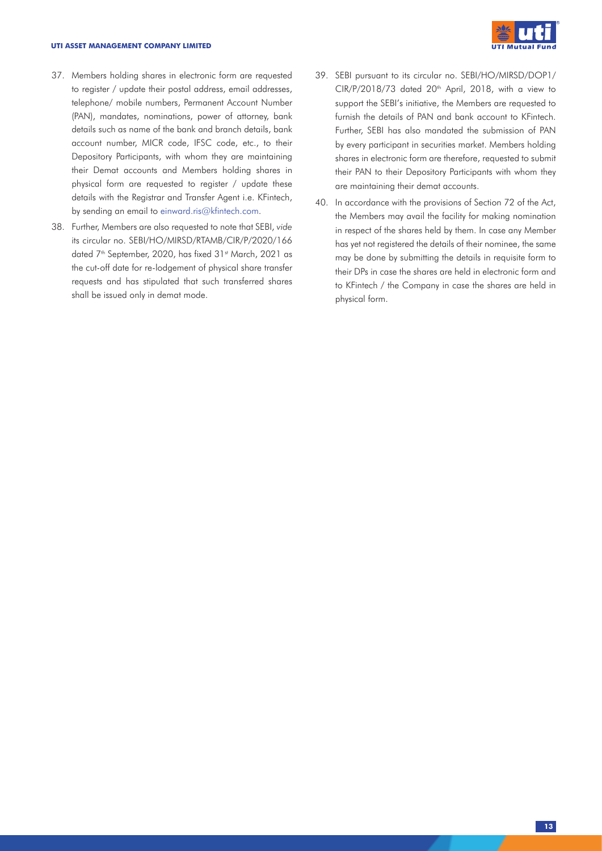#### **UTI ASSET MANAGEMENT COMPANY LIMITED**



- 37. Members holding shares in electronic form are requested to register / update their postal address, email addresses, telephone/ mobile numbers, Permanent Account Number (PAN), mandates, nominations, power of attorney, bank details such as name of the bank and branch details, bank account number, MICR code, IFSC code, etc., to their Depository Participants, with whom they are maintaining their Demat accounts and Members holding shares in physical form are requested to register / update these details with the Registrar and Transfer Agent i.e. KFintech, by sending an email to einward.ris@kfintech.com.
- 38. Further, Members are also requested to note that SEBI, *vide* its circular no. SEBI/HO/MIRSD/RTAMB/CIR/P/2020/166 dated 7<sup>th</sup> September, 2020, has fixed 31<sup>st</sup> March, 2021 as the cut-off date for re-lodgement of physical share transfer requests and has stipulated that such transferred shares shall be issued only in demat mode.
- 39. SEBI pursuant to its circular no. SEBI/HO/MIRSD/DOP1/  $CIR/P/2018/73$  dated  $20<sup>th</sup>$  April, 2018, with a view to support the SEBI's initiative, the Members are requested to furnish the details of PAN and bank account to KFintech. Further, SEBI has also mandated the submission of PAN by every participant in securities market. Members holding shares in electronic form are therefore, requested to submit their PAN to their Depository Participants with whom they are maintaining their demat accounts.
- 40. In accordance with the provisions of Section 72 of the Act, the Members may avail the facility for making nomination in respect of the shares held by them. In case any Member has yet not registered the details of their nominee, the same may be done by submitting the details in requisite form to their DPs in case the shares are held in electronic form and to KFintech / the Company in case the shares are held in physical form.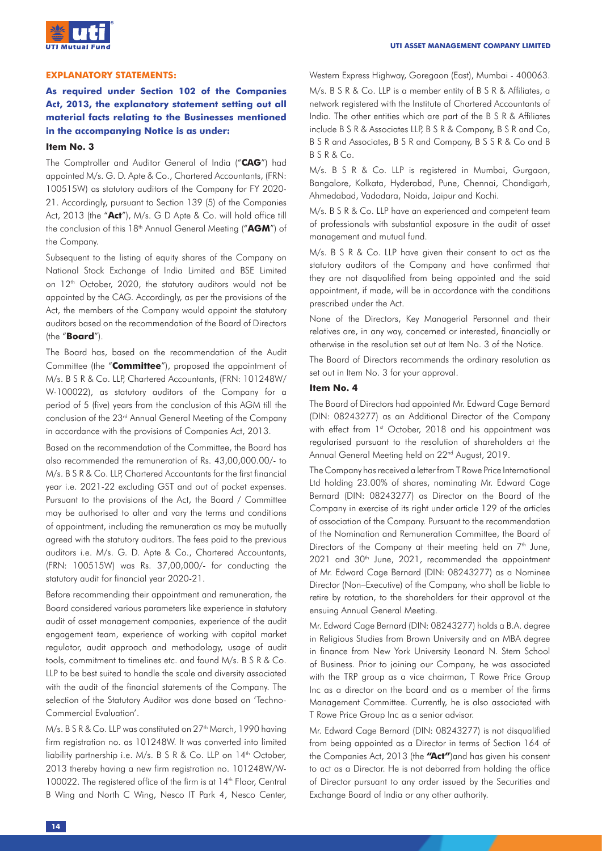

### **EXPLANATORY STATEMENTS:**

# **As required under Section 102 of the Companies Act, 2013, the explanatory statement setting out all material facts relating to the Businesses mentioned in the accompanying Notice is as under:**

#### **Item No. 3**

The Comptroller and Auditor General of India ("**CAG**") had appointed M/s. G. D. Apte & Co., Chartered Accountants, (FRN: 100515W) as statutory auditors of the Company for FY 2020- 21. Accordingly, pursuant to Section 139 (5) of the Companies Act, 2013 (the "**Act**"), M/s. G D Apte & Co. will hold office till the conclusion of this 18<sup>th</sup> Annual General Meeting ("AGM") of the Company.

Subsequent to the listing of equity shares of the Company on National Stock Exchange of India Limited and BSE Limited on 12<sup>th</sup> October, 2020, the statutory auditors would not be appointed by the CAG. Accordingly, as per the provisions of the Act, the members of the Company would appoint the statutory auditors based on the recommendation of the Board of Directors (the "**Board**").

The Board has, based on the recommendation of the Audit Committee (the "**Committee**"), proposed the appointment of M/s. B S R & Co. LLP, Chartered Accountants, (FRN: 101248W/ W-100022), as statutory auditors of the Company for a period of 5 (five) years from the conclusion of this AGM till the conclusion of the 23rd Annual General Meeting of the Company in accordance with the provisions of Companies Act, 2013.

Based on the recommendation of the Committee, the Board has also recommended the remuneration of Rs. 43,00,000.00/- to M/s. B S R & Co. LLP, Chartered Accountants for the first financial year i.e. 2021-22 excluding GST and out of pocket expenses. Pursuant to the provisions of the Act, the Board / Committee may be authorised to alter and vary the terms and conditions of appointment, including the remuneration as may be mutually agreed with the statutory auditors. The fees paid to the previous auditors i.e. M/s. G. D. Apte & Co., Chartered Accountants, (FRN: 100515W) was Rs. 37,00,000/- for conducting the statutory audit for financial year 2020-21.

Before recommending their appointment and remuneration, the Board considered various parameters like experience in statutory audit of asset management companies, experience of the audit engagement team, experience of working with capital market regulator, audit approach and methodology, usage of audit tools, commitment to timelines etc. and found M/s. B S R & Co. LLP to be best suited to handle the scale and diversity associated with the audit of the financial statements of the Company. The selection of the Statutory Auditor was done based on 'Techno-Commercial Evaluation'.

M/s. B S R & Co. LLP was constituted on 27<sup>th</sup> March, 1990 having firm registration no. as 101248W. It was converted into limited liability partnership i.e. M/s. B S R & Co. LLP on 14<sup>th</sup> October, 2013 thereby having a new firm registration no. 101248W/W-100022. The registered office of the firm is at 14<sup>th</sup> Floor, Central B Wing and North C Wing, Nesco IT Park 4, Nesco Center,

Western Express Highway, Goregaon (East), Mumbai - 400063.

M/s. B S R & Co. LLP is a member entity of B S R & Affiliates, a network registered with the Institute of Chartered Accountants of India. The other entities which are part of the B S R & Affiliates include B S R & Associates LLP, B S R & Company, B S R and Co, B S R and Associates, B S R and Company, B S S R & Co and B B S R & Co.

M/s. B S R & Co. LLP is registered in Mumbai, Gurgaon, Bangalore, Kolkata, Hyderabad, Pune, Chennai, Chandigarh, Ahmedabad, Vadodara, Noida, Jaipur and Kochi.

M/s. B S R & Co. LLP have an experienced and competent team of professionals with substantial exposure in the audit of asset management and mutual fund.

M/s. B S R & Co. LLP have given their consent to act as the statutory auditors of the Company and have confirmed that they are not disqualified from being appointed and the said appointment, if made, will be in accordance with the conditions prescribed under the Act.

None of the Directors, Key Managerial Personnel and their relatives are, in any way, concerned or interested, financially or otherwise in the resolution set out at Item No. 3 of the Notice.

The Board of Directors recommends the ordinary resolution as set out in Item No. 3 for your approval.

### **Item No. 4**

The Board of Directors had appointed Mr. Edward Cage Bernard (DIN: 08243277) as an Additional Director of the Company with effect from 1st October, 2018 and his appointment was regularised pursuant to the resolution of shareholders at the Annual General Meeting held on 22<sup>nd</sup> August, 2019.

The Company has received a letter from T Rowe Price International Ltd holding 23.00% of shares, nominating Mr. Edward Cage Bernard (DIN: 08243277) as Director on the Board of the Company in exercise of its right under article 129 of the articles of association of the Company. Pursuant to the recommendation of the Nomination and Remuneration Committee, the Board of Directors of the Company at their meeting held on  $7<sup>th</sup>$  June, 2021 and 30<sup>th</sup> June, 2021, recommended the appointment of Mr. Edward Cage Bernard (DIN: 08243277) as a Nominee Director (Non–Executive) of the Company, who shall be liable to retire by rotation, to the shareholders for their approval at the ensuing Annual General Meeting.

Mr. Edward Cage Bernard (DIN: 08243277) holds a B.A. degree in Religious Studies from Brown University and an MBA degree in finance from New York University Leonard N. Stern School of Business. Prior to joining our Company, he was associated with the TRP group as a vice chairman, T Rowe Price Group Inc as a director on the board and as a member of the firms Management Committee. Currently, he is also associated with T Rowe Price Group Inc as a senior advisor.

Mr. Edward Cage Bernard (DIN: 08243277) is not disqualified from being appointed as a Director in terms of Section 164 of the Companies Act, 2013 (the **"Act"**)and has given his consent to act as a Director. He is not debarred from holding the office of Director pursuant to any order issued by the Securities and Exchange Board of India or any other authority.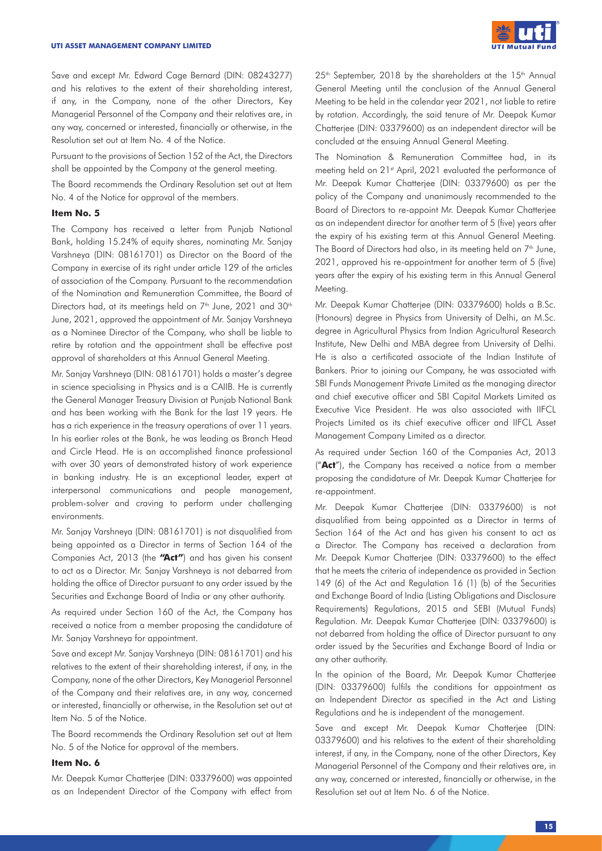

Save and except Mr. Edward Cage Bernard (DIN: 08243277) and his relatives to the extent of their shareholding interest, if any, in the Company, none of the other Directors, Key Managerial Personnel of the Company and their relatives are, in any way, concerned or interested, financially or otherwise, in the Resolution set out at Item No. 4 of the Notice.

Pursuant to the provisions of Section 152 of the Act, the Directors shall be appointed by the Company at the general meeting.

The Board recommends the Ordinary Resolution set out at Item No. 4 of the Notice for approval of the members.

# **Item No. 5**

The Company has received a letter from Punjab National Bank, holding 15.24% of equity shares, nominating Mr. Sanjay Varshneya (DIN: 08161701) as Director on the Board of the Company in exercise of its right under article 129 of the articles of association of the Company. Pursuant to the recommendation of the Nomination and Remuneration Committee, the Board of Directors had, at its meetings held on  $7<sup>th</sup>$  June, 2021 and 30<sup>th</sup> June, 2021, approved the appointment of Mr. Sanjay Varshneya as a Nominee Director of the Company, who shall be liable to retire by rotation and the appointment shall be effective post approval of shareholders at this Annual General Meeting.

Mr. Sanjay Varshneya (DIN: 08161701) holds a master's degree in science specialising in Physics and is a CAIIB. He is currently the General Manager Treasury Division at Punjab National Bank and has been working with the Bank for the last 19 years. He has a rich experience in the treasury operations of over 11 years. In his earlier roles at the Bank, he was leading as Branch Head and Circle Head. He is an accomplished finance professional with over 30 years of demonstrated history of work experience in banking industry. He is an exceptional leader, expert at interpersonal communications and people management, problem-solver and craving to perform under challenging environments.

Mr. Sanjay Varshneya (DIN: 08161701) is not disqualified from being appointed as a Director in terms of Section 164 of the Companies Act, 2013 (the **"Act"**) and has given his consent to act as a Director. Mr. Sanjay Varshneya is not debarred from holding the office of Director pursuant to any order issued by the Securities and Exchange Board of India or any other authority.

As required under Section 160 of the Act, the Company has received a notice from a member proposing the candidature of Mr. Sanjay Varshneya for appointment.

Save and except Mr. Sanjay Varshneya (DIN: 08161701) and his relatives to the extent of their shareholding interest, if any, in the Company, none of the other Directors, Key Managerial Personnel of the Company and their relatives are, in any way, concerned or interested, financially or otherwise, in the Resolution set out at Item No. 5 of the Notice.

The Board recommends the Ordinary Resolution set out at Item No. 5 of the Notice for approval of the members.

### **Item No. 6**

Mr. Deepak Kumar Chatterjee (DIN: 03379600) was appointed as an Independent Director of the Company with effect from  $25<sup>th</sup>$  September, 2018 by the shareholders at the  $15<sup>th</sup>$  Annual General Meeting until the conclusion of the Annual General Meeting to be held in the calendar year 2021, not liable to retire by rotation. Accordingly, the said tenure of Mr. Deepak Kumar Chatterjee (DIN: 03379600) as an independent director will be concluded at the ensuing Annual General Meeting.

The Nomination & Remuneration Committee had, in its meeting held on 21<sup>st</sup> April, 2021 evaluated the performance of Mr. Deepak Kumar Chatterjee (DIN: 03379600) as per the policy of the Company and unanimously recommended to the Board of Directors to re-appoint Mr. Deepak Kumar Chatterjee as an independent director for another term of 5 (five) years after the expiry of his existing term at this Annual General Meeting. The Board of Directors had also, in its meeting held on  $7<sup>th</sup>$  June, 2021, approved his re-appointment for another term of 5 (five) years after the expiry of his existing term in this Annual General Meeting.

Mr. Deepak Kumar Chatterjee (DIN: 03379600) holds a B.Sc. (Honours) degree in Physics from University of Delhi, an M.Sc. degree in Agricultural Physics from Indian Agricultural Research Institute, New Delhi and MBA degree from University of Delhi. He is also a certificated associate of the Indian Institute of Bankers. Prior to joining our Company, he was associated with SBI Funds Management Private Limited as the managing director and chief executive officer and SBI Capital Markets Limited as Executive Vice President. He was also associated with IIFCL Projects Limited as its chief executive officer and IIFCL Asset Management Company Limited as a director.

As required under Section 160 of the Companies Act, 2013 ("**Act**"), the Company has received a notice from a member proposing the candidature of Mr. Deepak Kumar Chatterjee for re-appointment.

Mr. Deepak Kumar Chatterjee (DIN: 03379600) is not disqualified from being appointed as a Director in terms of Section 164 of the Act and has given his consent to act as a Director. The Company has received a declaration from Mr. Deepak Kumar Chatterjee (DIN: 03379600) to the effect that he meets the criteria of independence as provided in Section 149 (6) of the Act and Regulation 16 (1) (b) of the Securities and Exchange Board of India (Listing Obligations and Disclosure Requirements) Regulations, 2015 and SEBI (Mutual Funds) Regulation. Mr. Deepak Kumar Chatterjee (DIN: 03379600) is not debarred from holding the office of Director pursuant to any order issued by the Securities and Exchange Board of India or any other authority.

In the opinion of the Board, Mr. Deepak Kumar Chatterjee (DIN: 03379600) fulfils the conditions for appointment as an Independent Director as specified in the Act and Listing Regulations and he is independent of the management.

Save and except Mr. Deepak Kumar Chatterjee (DIN: 03379600) and his relatives to the extent of their shareholding interest, if any, in the Company, none of the other Directors, Key Managerial Personnel of the Company and their relatives are, in any way, concerned or interested, financially or otherwise, in the Resolution set out at Item No. 6 of the Notice.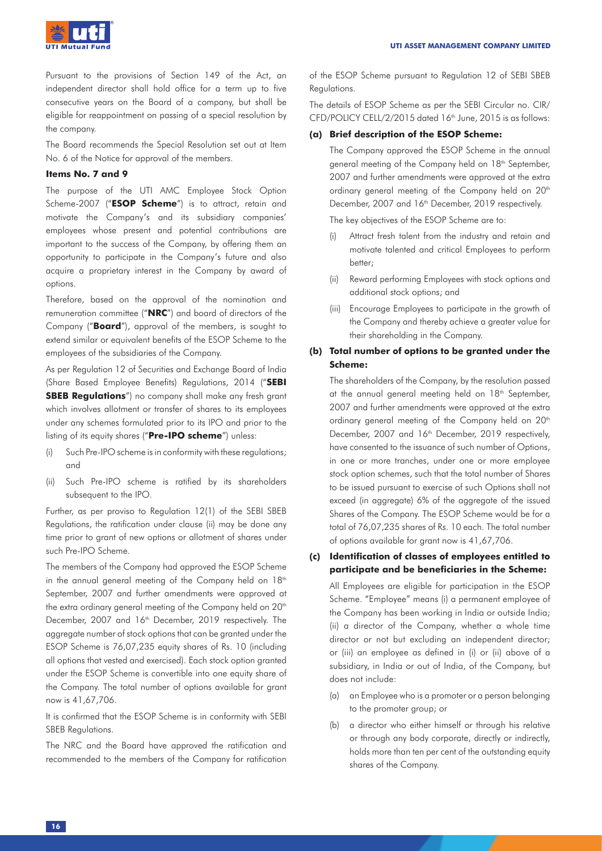

Pursuant to the provisions of Section 149 of the Act, an independent director shall hold office for a term up to five consecutive years on the Board of a company, but shall be eligible for reappointment on passing of a special resolution by the company.

The Board recommends the Special Resolution set out at Item No. 6 of the Notice for approval of the members.

### **Items No. 7 and 9**

The purpose of the UTI AMC Employee Stock Option Scheme-2007 ("**ESOP Scheme**") is to attract, retain and motivate the Company's and its subsidiary companies' employees whose present and potential contributions are important to the success of the Company, by offering them an opportunity to participate in the Company's future and also acquire a proprietary interest in the Company by award of options.

Therefore, based on the approval of the nomination and remuneration committee ("**NRC**") and board of directors of the Company ("**Board**"), approval of the members, is sought to extend similar or equivalent benefits of the ESOP Scheme to the employees of the subsidiaries of the Company.

As per Regulation 12 of Securities and Exchange Board of India (Share Based Employee Benefits) Regulations, 2014 ("**SEBI SBEB Regulations**") no company shall make any fresh grant which involves allotment or transfer of shares to its employees under any schemes formulated prior to its IPO and prior to the listing of its equity shares ("**Pre-IPO scheme**") unless:

- (i) Such Pre-IPO scheme is in conformity with these regulations; and
- (ii) Such Pre-IPO scheme is ratified by its shareholders subsequent to the IPO.

Further, as per proviso to Regulation 12(1) of the SEBI SBEB Regulations, the ratification under clause (ii) may be done any time prior to grant of new options or allotment of shares under such Pre-IPO Scheme.

The members of the Company had approved the ESOP Scheme in the annual general meeting of the Company held on  $18<sup>th</sup>$ September, 2007 and further amendments were approved at the extra ordinary general meeting of the Company held on 20<sup>th</sup> December, 2007 and 16<sup>th</sup> December, 2019 respectively. The aggregate number of stock options that can be granted under the ESOP Scheme is 76,07,235 equity shares of Rs. 10 (including all options that vested and exercised). Each stock option granted under the ESOP Scheme is convertible into one equity share of the Company. The total number of options available for grant now is 41,67,706.

It is confirmed that the ESOP Scheme is in conformity with SEBI SBEB Regulations.

The NRC and the Board have approved the ratification and recommended to the members of the Company for ratification of the ESOP Scheme pursuant to Regulation 12 of SEBI SBEB Regulations.

The details of ESOP Scheme as per the SEBI Circular no. CIR/ CFD/POLICY CELL/2/2015 dated 16<sup>th</sup> June, 2015 is as follows:

## **(a) Brief description of the ESOP Scheme:**

The Company approved the ESOP Scheme in the annual general meeting of the Company held on 18<sup>th</sup> September, 2007 and further amendments were approved at the extra ordinary general meeting of the Company held on 20<sup>th</sup> December, 2007 and 16<sup>th</sup> December, 2019 respectively.

The key objectives of the ESOP Scheme are to:

- (i) Attract fresh talent from the industry and retain and motivate talented and critical Employees to perform better;
- (ii) Reward performing Employees with stock options and additional stock options; and
- (iii) Encourage Employees to participate in the growth of the Company and thereby achieve a greater value for their shareholding in the Company.

# **(b) Total number of options to be granted under the Scheme:**

The shareholders of the Company, by the resolution passed at the annual general meeting held on 18<sup>th</sup> September, 2007 and further amendments were approved at the extra ordinary general meeting of the Company held on 20<sup>th</sup> December, 2007 and 16<sup>th</sup> December, 2019 respectively, have consented to the issuance of such number of Options, in one or more tranches, under one or more employee stock option schemes, such that the total number of Shares to be issued pursuant to exercise of such Options shall not exceed (in aggregate) 6% of the aggregate of the issued Shares of the Company. The ESOP Scheme would be for a total of 76,07,235 shares of Rs. 10 each. The total number of options available for grant now is 41,67,706.

# **(c) Identification of classes of employees entitled to participate and be beneficiaries in the Scheme:**

All Employees are eligible for participation in the ESOP Scheme. "Employee" means (i) a permanent employee of the Company has been working in India or outside India; (ii) a director of the Company, whether a whole time director or not but excluding an independent director; or (iii) an employee as defined in (i) or (ii) above of a subsidiary, in India or out of India, of the Company, but does not include:

- (a) an Employee who is a promoter or a person belonging to the promoter group; or
- (b) a director who either himself or through his relative or through any body corporate, directly or indirectly, holds more than ten per cent of the outstanding equity shares of the Company.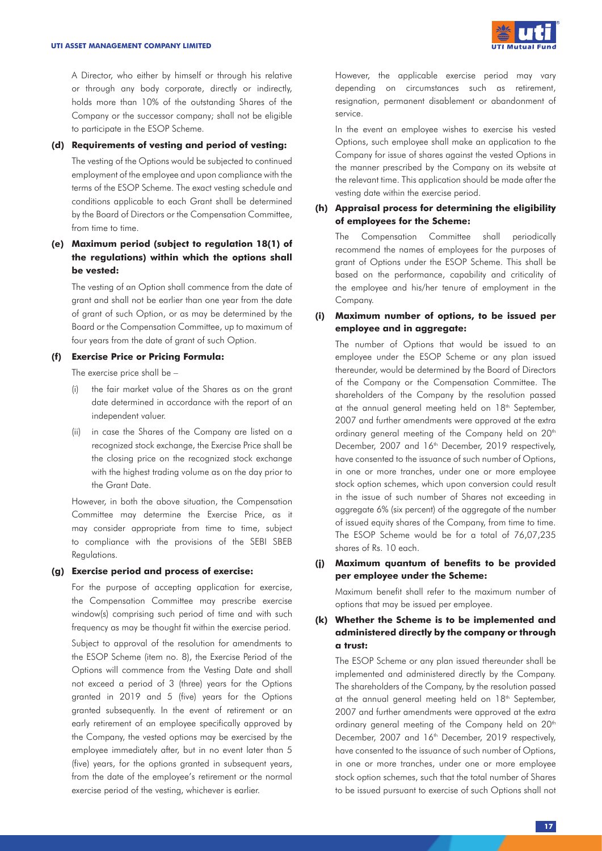A Director, who either by himself or through his relative or through any body corporate, directly or indirectly, holds more than 10% of the outstanding Shares of the Company or the successor company; shall not be eligible to participate in the ESOP Scheme.

## **(d) Requirements of vesting and period of vesting:**

The vesting of the Options would be subjected to continued employment of the employee and upon compliance with the terms of the ESOP Scheme. The exact vesting schedule and conditions applicable to each Grant shall be determined by the Board of Directors or the Compensation Committee, from time to time.

# **(e) Maximum period (subject to regulation 18(1) of the regulations) within which the options shall be vested:**

The vesting of an Option shall commence from the date of grant and shall not be earlier than one year from the date of grant of such Option, or as may be determined by the Board or the Compensation Committee, up to maximum of four years from the date of grant of such Option.

# **(f) Exercise Price or Pricing Formula:**

The exercise price shall be –

- (i) the fair market value of the Shares as on the grant date determined in accordance with the report of an independent valuer.
- (ii) in case the Shares of the Company are listed on a recognized stock exchange, the Exercise Price shall be the closing price on the recognized stock exchange with the highest trading volume as on the day prior to the Grant Date.

However, in both the above situation, the Compensation Committee may determine the Exercise Price, as it may consider appropriate from time to time, subject to compliance with the provisions of the SEBI SBEB Regulations.

## **(g) Exercise period and process of exercise:**

For the purpose of accepting application for exercise, the Compensation Committee may prescribe exercise window(s) comprising such period of time and with such frequency as may be thought fit within the exercise period. Subject to approval of the resolution for amendments to the ESOP Scheme (item no. 8), the Exercise Period of the Options will commence from the Vesting Date and shall not exceed a period of 3 (three) years for the Options granted in 2019 and 5 (five) years for the Options granted subsequently. In the event of retirement or an early retirement of an employee specifically approved by the Company, the vested options may be exercised by the employee immediately after, but in no event later than 5 (five) years, for the options granted in subsequent years, from the date of the employee's retirement or the normal exercise period of the vesting, whichever is earlier.

However, the applicable exercise period may vary depending on circumstances such as retirement, resignation, permanent disablement or abandonment of service.

In the event an employee wishes to exercise his vested Options, such employee shall make an application to the Company for issue of shares against the vested Options in the manner prescribed by the Company on its website at the relevant time. This application should be made after the vesting date within the exercise period.

# **(h) Appraisal process for determining the eligibility of employees for the Scheme:**

The Compensation Committee shall periodically recommend the names of employees for the purposes of grant of Options under the ESOP Scheme. This shall be based on the performance, capability and criticality of the employee and his/her tenure of employment in the Company.

# **(i) Maximum number of options, to be issued per employee and in aggregate:**

The number of Options that would be issued to an employee under the ESOP Scheme or any plan issued thereunder, would be determined by the Board of Directors of the Company or the Compensation Committee. The shareholders of the Company by the resolution passed at the annual general meeting held on 18<sup>th</sup> September, 2007 and further amendments were approved at the extra ordinary general meeting of the Company held on 20<sup>th</sup> December, 2007 and 16<sup>th</sup> December, 2019 respectively, have consented to the issuance of such number of Options, in one or more tranches, under one or more employee stock option schemes, which upon conversion could result in the issue of such number of Shares not exceeding in aggregate 6% (six percent) of the aggregate of the number of issued equity shares of the Company, from time to time. The ESOP Scheme would be for a total of 76,07,235 shares of Rs. 10 each.

# **(j) Maximum quantum of benefits to be provided per employee under the Scheme:**

Maximum benefit shall refer to the maximum number of options that may be issued per employee.

# **(k) Whether the Scheme is to be implemented and administered directly by the company or through a trust:**

The ESOP Scheme or any plan issued thereunder shall be implemented and administered directly by the Company. The shareholders of the Company, by the resolution passed at the annual general meeting held on 18<sup>th</sup> September, 2007 and further amendments were approved at the extra ordinary general meeting of the Company held on 20<sup>th</sup> December, 2007 and 16<sup>th</sup> December, 2019 respectively, have consented to the issuance of such number of Options, in one or more tranches, under one or more employee stock option schemes, such that the total number of Shares to be issued pursuant to exercise of such Options shall not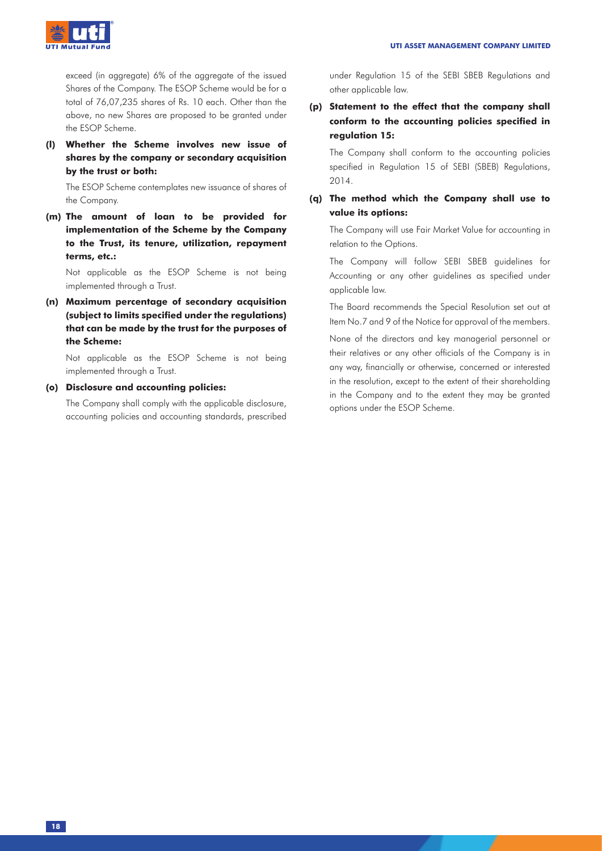

exceed (in aggregate) 6% of the aggregate of the issued Shares of the Company. The ESOP Scheme would be for a total of 76,07,235 shares of Rs. 10 each. Other than the above, no new Shares are proposed to be granted under the ESOP Scheme.

**(l) Whether the Scheme involves new issue of shares by the company or secondary acquisition by the trust or both:**

The ESOP Scheme contemplates new issuance of shares of the Company.

**(m) The amount of loan to be provided for implementation of the Scheme by the Company to the Trust, its tenure, utilization, repayment terms, etc.:**

Not applicable as the ESOP Scheme is not being implemented through a Trust.

**(n) Maximum percentage of secondary acquisition (subject to limits specified under the regulations) that can be made by the trust for the purposes of the Scheme:**

Not applicable as the ESOP Scheme is not being implemented through a Trust.

### **(o) Disclosure and accounting policies:**

The Company shall comply with the applicable disclosure, accounting policies and accounting standards, prescribed under Regulation 15 of the SEBI SBEB Regulations and other applicable law.

# **(p) Statement to the effect that the company shall conform to the accounting policies specified in regulation 15:**

The Company shall conform to the accounting policies specified in Regulation 15 of SEBI (SBEB) Regulations, 2014.

# **(q) The method which the Company shall use to value its options:**

The Company will use Fair Market Value for accounting in relation to the Options.

The Company will follow SEBI SBEB guidelines for Accounting or any other guidelines as specified under applicable law.

The Board recommends the Special Resolution set out at Item No.7 and 9 of the Notice for approval of the members.

None of the directors and key managerial personnel or their relatives or any other officials of the Company is in any way, financially or otherwise, concerned or interested in the resolution, except to the extent of their shareholding in the Company and to the extent they may be granted options under the ESOP Scheme.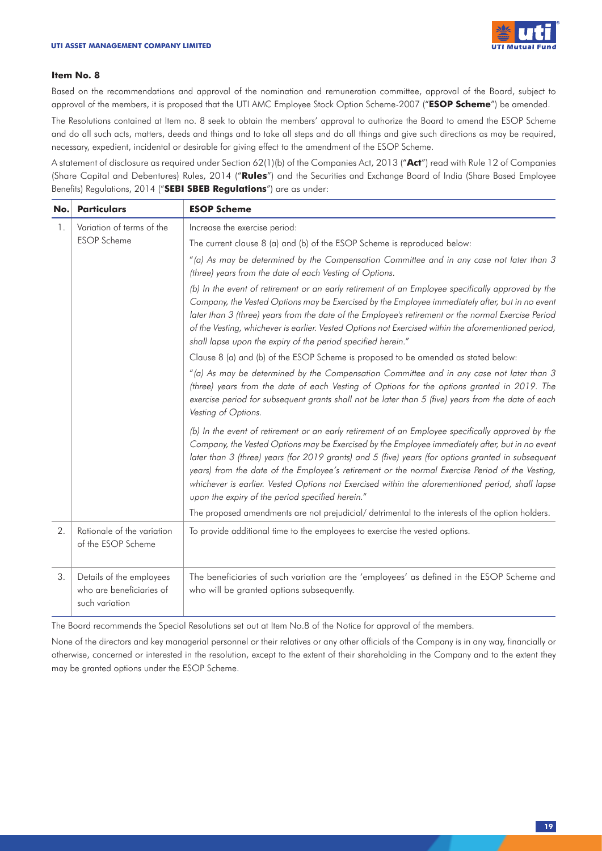

#### **Item No. 8**

Based on the recommendations and approval of the nomination and remuneration committee, approval of the Board, subject to approval of the members, it is proposed that the UTI AMC Employee Stock Option Scheme-2007 ("**ESOP Scheme**") be amended.

The Resolutions contained at Item no. 8 seek to obtain the members' approval to authorize the Board to amend the ESOP Scheme and do all such acts, matters, deeds and things and to take all steps and do all things and give such directions as may be required, necessary, expedient, incidental or desirable for giving effect to the amendment of the ESOP Scheme.

A statement of disclosure as required under Section 62(1)(b) of the Companies Act, 2013 ("**Act**") read with Rule 12 of Companies (Share Capital and Debentures) Rules, 2014 ("**Rules**") and the Securities and Exchange Board of India (Share Based Employee Benefits) Regulations, 2014 ("**SEBI SBEB Regulations**") are as under:

| No. | <b>Particulars</b>                                                     | <b>ESOP Scheme</b>                                                                                                                                                                                                                                                                                                                                                                                                                                                                                                                                                    |  |  |
|-----|------------------------------------------------------------------------|-----------------------------------------------------------------------------------------------------------------------------------------------------------------------------------------------------------------------------------------------------------------------------------------------------------------------------------------------------------------------------------------------------------------------------------------------------------------------------------------------------------------------------------------------------------------------|--|--|
| 1.  | Variation of terms of the                                              | Increase the exercise period:                                                                                                                                                                                                                                                                                                                                                                                                                                                                                                                                         |  |  |
|     | <b>ESOP</b> Scheme                                                     | The current clause 8 (a) and (b) of the ESOP Scheme is reproduced below:                                                                                                                                                                                                                                                                                                                                                                                                                                                                                              |  |  |
|     |                                                                        | "(a) As may be determined by the Compensation Committee and in any case not later than 3<br>(three) years from the date of each Vesting of Options.                                                                                                                                                                                                                                                                                                                                                                                                                   |  |  |
|     |                                                                        | (b) In the event of retirement or an early retirement of an Employee specifically approved by the<br>Company, the Vested Options may be Exercised by the Employee immediately after, but in no event<br>later than 3 (three) years from the date of the Employee's retirement or the normal Exercise Period<br>of the Vesting, whichever is earlier. Vested Options not Exercised within the aforementioned period,<br>shall lapse upon the expiry of the period specified herein."                                                                                   |  |  |
|     |                                                                        | Clause 8 (a) and (b) of the ESOP Scheme is proposed to be amended as stated below:                                                                                                                                                                                                                                                                                                                                                                                                                                                                                    |  |  |
|     |                                                                        | "(a) As may be determined by the Compensation Committee and in any case not later than 3<br>(three) years from the date of each Vesting of Options for the options granted in 2019. The<br>exercise period for subsequent grants shall not be later than 5 (five) years from the date of each<br>Vesting of Options.                                                                                                                                                                                                                                                  |  |  |
|     |                                                                        | (b) In the event of retirement or an early retirement of an Employee specifically approved by the<br>Company, the Vested Options may be Exercised by the Employee immediately after, but in no event<br>later than 3 (three) years (for 2019 grants) and 5 (five) years (for options granted in subsequent<br>years) from the date of the Employee's retirement or the normal Exercise Period of the Vesting,<br>whichever is earlier. Vested Options not Exercised within the aforementioned period, shall lapse<br>upon the expiry of the period specified herein." |  |  |
|     |                                                                        | The proposed amendments are not prejudicial/ detrimental to the interests of the option holders.                                                                                                                                                                                                                                                                                                                                                                                                                                                                      |  |  |
| 2.  | Rationale of the variation<br>of the ESOP Scheme                       | To provide additional time to the employees to exercise the vested options.                                                                                                                                                                                                                                                                                                                                                                                                                                                                                           |  |  |
| 3.  | Details of the employees<br>who are beneficiaries of<br>such variation | The beneficiaries of such variation are the 'employees' as defined in the ESOP Scheme and<br>who will be granted options subsequently.                                                                                                                                                                                                                                                                                                                                                                                                                                |  |  |

The Board recommends the Special Resolutions set out at Item No.8 of the Notice for approval of the members.

None of the directors and key managerial personnel or their relatives or any other officials of the Company is in any way, financially or otherwise, concerned or interested in the resolution, except to the extent of their shareholding in the Company and to the extent they may be granted options under the ESOP Scheme.